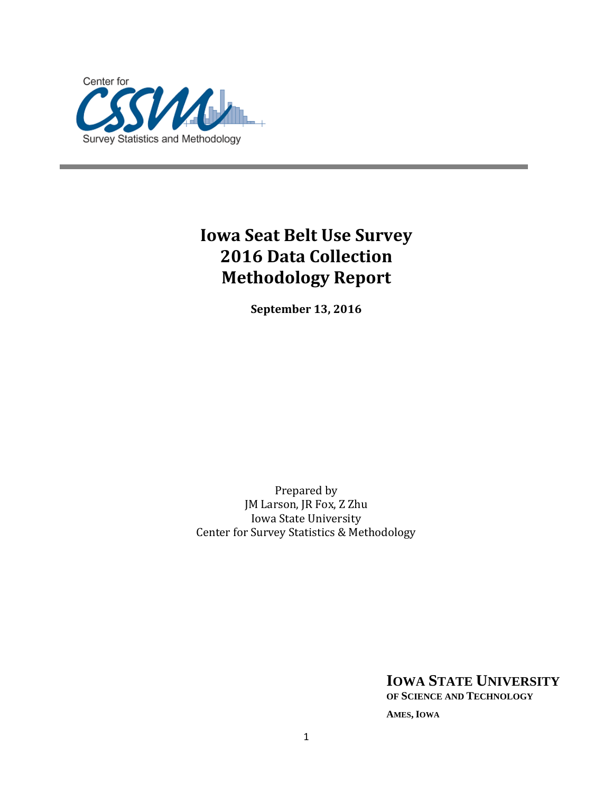

# **Iowa Seat Belt Use Survey 2016 Data Collection Methodology Report**

**September 13, 2016**

Prepared by JM Larson, JR Fox, Z Zhu Iowa State University Center for Survey Statistics & Methodology

> **IOWA STATE UNIVERSITY OF SCIENCE AND TECHNOLOGY AMES, IOWA**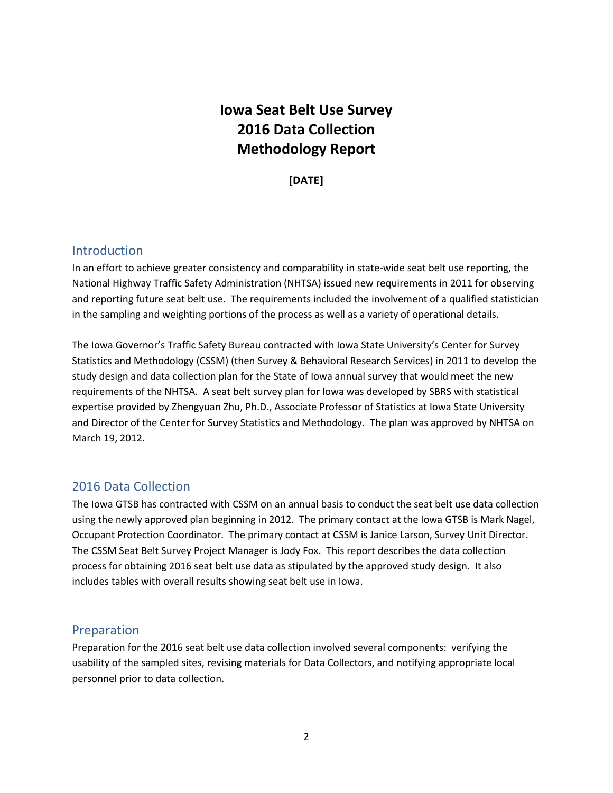## **Iowa Seat Belt Use Survey 2016 Data Collection Methodology Report**

**[DATE]**

### Introduction

In an effort to achieve greater consistency and comparability in state-wide seat belt use reporting, the National Highway Traffic Safety Administration (NHTSA) issued new requirements in 2011 for observing and reporting future seat belt use. The requirements included the involvement of a qualified statistician in the sampling and weighting portions of the process as well as a variety of operational details.

The Iowa Governor's Traffic Safety Bureau contracted with Iowa State University's Center for Survey Statistics and Methodology (CSSM) (then Survey & Behavioral Research Services) in 2011 to develop the study design and data collection plan for the State of Iowa annual survey that would meet the new requirements of the NHTSA. A seat belt survey plan for Iowa was developed by SBRS with statistical expertise provided by Zhengyuan Zhu, Ph.D., Associate Professor of Statistics at Iowa State University and Director of the Center for Survey Statistics and Methodology. The plan was approved by NHTSA on March 19, 2012.

### 2016 Data Collection

The Iowa GTSB has contracted with CSSM on an annual basis to conduct the seat belt use data collection using the newly approved plan beginning in 2012. The primary contact at the Iowa GTSB is Mark Nagel, Occupant Protection Coordinator. The primary contact at CSSM is Janice Larson, Survey Unit Director. The CSSM Seat Belt Survey Project Manager is Jody Fox. This report describes the data collection process for obtaining 2016 seat belt use data as stipulated by the approved study design. It also includes tables with overall results showing seat belt use in Iowa.

### Preparation

Preparation for the 2016 seat belt use data collection involved several components: verifying the usability of the sampled sites, revising materials for Data Collectors, and notifying appropriate local personnel prior to data collection.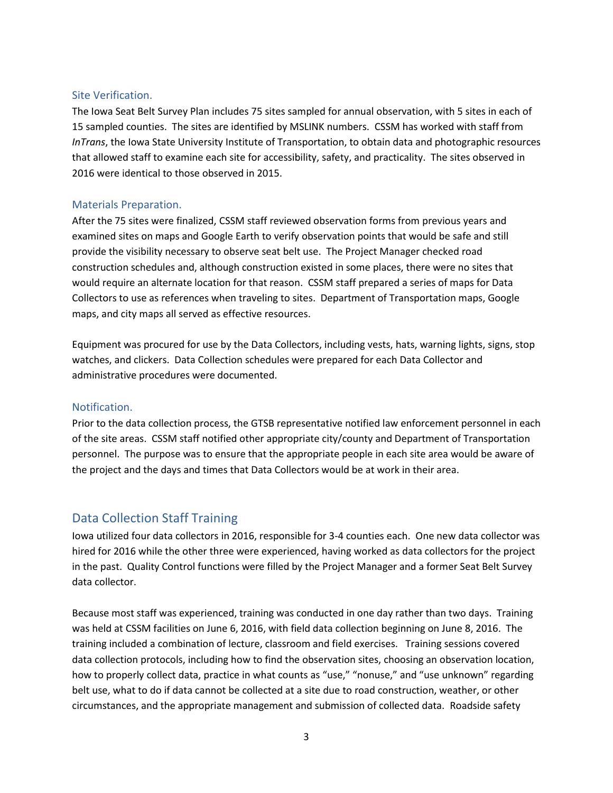#### Site Verification.

The Iowa Seat Belt Survey Plan includes 75 sites sampled for annual observation, with 5 sites in each of 15 sampled counties. The sites are identified by MSLINK numbers. CSSM has worked with staff from *InTrans*, the Iowa State University Institute of Transportation, to obtain data and photographic resources that allowed staff to examine each site for accessibility, safety, and practicality. The sites observed in 2016 were identical to those observed in 2015.

#### Materials Preparation.

After the 75 sites were finalized, CSSM staff reviewed observation forms from previous years and examined sites on maps and Google Earth to verify observation points that would be safe and still provide the visibility necessary to observe seat belt use. The Project Manager checked road construction schedules and, although construction existed in some places, there were no sites that would require an alternate location for that reason. CSSM staff prepared a series of maps for Data Collectors to use as references when traveling to sites. Department of Transportation maps, Google maps, and city maps all served as effective resources.

Equipment was procured for use by the Data Collectors, including vests, hats, warning lights, signs, stop watches, and clickers. Data Collection schedules were prepared for each Data Collector and administrative procedures were documented.

#### Notification.

Prior to the data collection process, the GTSB representative notified law enforcement personnel in each of the site areas. CSSM staff notified other appropriate city/county and Department of Transportation personnel. The purpose was to ensure that the appropriate people in each site area would be aware of the project and the days and times that Data Collectors would be at work in their area.

### Data Collection Staff Training

Iowa utilized four data collectors in 2016, responsible for 3-4 counties each. One new data collector was hired for 2016 while the other three were experienced, having worked as data collectors for the project in the past. Quality Control functions were filled by the Project Manager and a former Seat Belt Survey data collector.

Because most staff was experienced, training was conducted in one day rather than two days. Training was held at CSSM facilities on June 6, 2016, with field data collection beginning on June 8, 2016. The training included a combination of lecture, classroom and field exercises. Training sessions covered data collection protocols, including how to find the observation sites, choosing an observation location, how to properly collect data, practice in what counts as "use," "nonuse," and "use unknown" regarding belt use, what to do if data cannot be collected at a site due to road construction, weather, or other circumstances, and the appropriate management and submission of collected data. Roadside safety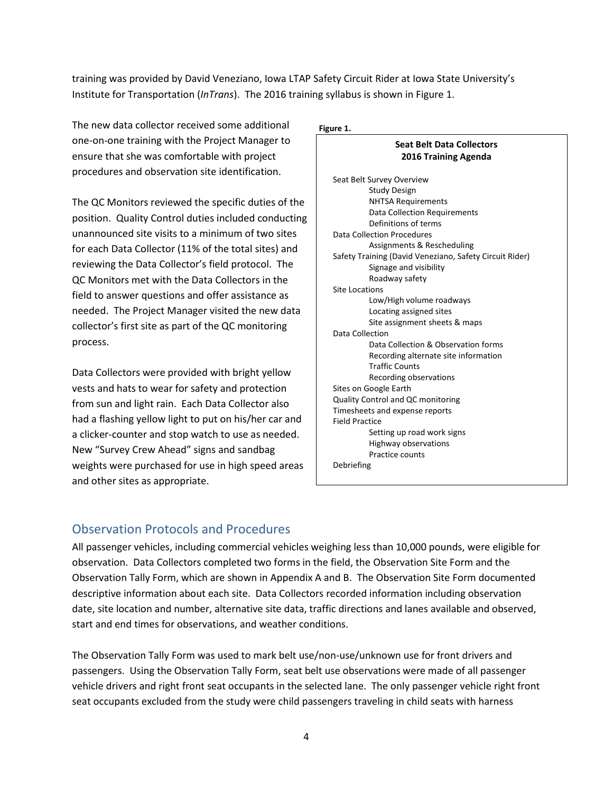training was provided by David Veneziano, Iowa LTAP Safety Circuit Rider at Iowa State University's Institute for Transportation (*InTrans*). The 2016 training syllabus is shown in Figure 1.

The new data collector received some additional one-on-one training with the Project Manager to ensure that she was comfortable with project procedures and observation site identification.

The QC Monitors reviewed the specific duties of the position. Quality Control duties included conducting unannounced site visits to a minimum of two sites for each Data Collector (11% of the total sites) and reviewing the Data Collector's field protocol. The QC Monitors met with the Data Collectors in the field to answer questions and offer assistance as needed. The Project Manager visited the new data collector's first site as part of the QC monitoring process.

Data Collectors were provided with bright yellow vests and hats to wear for safety and protection from sun and light rain. Each Data Collector also had a flashing yellow light to put on his/her car and a clicker-counter and stop watch to use as needed. New "Survey Crew Ahead" signs and sandbag weights were purchased for use in high speed areas and other sites as appropriate.

#### **Figure 1.**

#### **Seat Belt Data Collectors 2016 Training Agenda**

| Seat Belt Survey Overview                               |
|---------------------------------------------------------|
| Study Design                                            |
| <b>NHTSA Requirements</b>                               |
| Data Collection Requirements                            |
| Definitions of terms                                    |
| Data Collection Procedures                              |
| Assignments & Rescheduling                              |
| Safety Training (David Veneziano, Safety Circuit Rider) |
| Signage and visibility                                  |
| Roadway safety                                          |
| <b>Site Locations</b>                                   |
| Low/High volume roadways                                |
| Locating assigned sites                                 |
| Site assignment sheets & maps                           |
| Data Collection                                         |
| Data Collection & Observation forms                     |
| Recording alternate site information                    |
| <b>Traffic Counts</b>                                   |
| Recording observations                                  |
| Sites on Google Earth                                   |
| <b>Quality Control and QC monitoring</b>                |
| Timesheets and expense reports                          |
| Field Practice                                          |
| Setting up road work signs                              |
| Highway observations                                    |
| Practice counts                                         |
| Debriefing                                              |

### Observation Protocols and Procedures

All passenger vehicles, including commercial vehicles weighing less than 10,000 pounds, were eligible for observation. Data Collectors completed two forms in the field, the Observation Site Form and the Observation Tally Form, which are shown in Appendix A and B. The Observation Site Form documented descriptive information about each site. Data Collectors recorded information including observation date, site location and number, alternative site data, traffic directions and lanes available and observed, start and end times for observations, and weather conditions.

The Observation Tally Form was used to mark belt use/non-use/unknown use for front drivers and passengers. Using the Observation Tally Form, seat belt use observations were made of all passenger vehicle drivers and right front seat occupants in the selected lane. The only passenger vehicle right front seat occupants excluded from the study were child passengers traveling in child seats with harness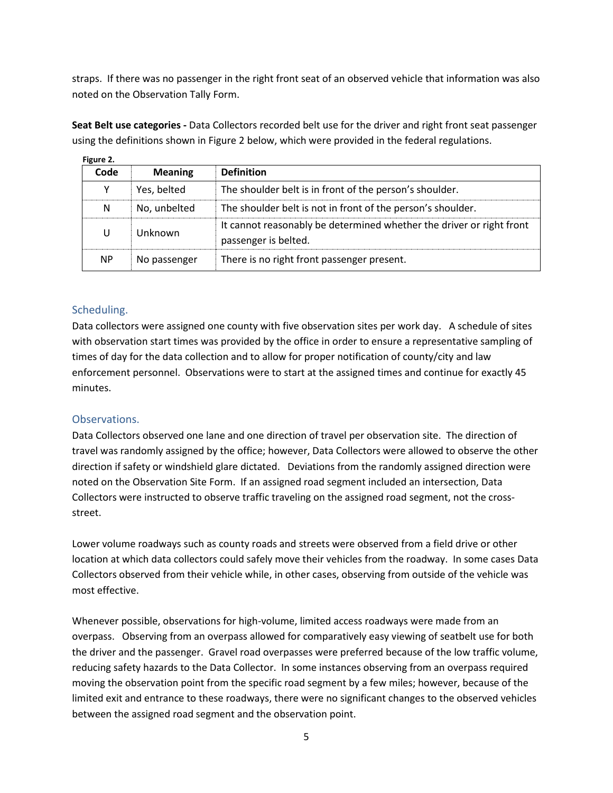straps. If there was no passenger in the right front seat of an observed vehicle that information was also noted on the Observation Tally Form.

**Figure 2.** using the definitions shown in Figure 2 below, which were provided in the federal regulations.

**Seat Belt use categories -** Data Collectors recorded belt use for the driver and right front seat passenger

| Code      | <b>Meaning</b> | <b>Definition</b>                                                                            |
|-----------|----------------|----------------------------------------------------------------------------------------------|
| Y         | Yes, belted    | The shoulder belt is in front of the person's shoulder.                                      |
| N         | No, unbelted   | The shoulder belt is not in front of the person's shoulder.                                  |
| U         | Unknown        | It cannot reasonably be determined whether the driver or right front<br>passenger is belted. |
| <b>NP</b> | No passenger   | There is no right front passenger present.                                                   |

#### Scheduling.

Data collectors were assigned one county with five observation sites per work day. A schedule of sites with observation start times was provided by the office in order to ensure a representative sampling of times of day for the data collection and to allow for proper notification of county/city and law enforcement personnel. Observations were to start at the assigned times and continue for exactly 45 minutes.

#### Observations.

Data Collectors observed one lane and one direction of travel per observation site. The direction of travel was randomly assigned by the office; however, Data Collectors were allowed to observe the other direction if safety or windshield glare dictated. Deviations from the randomly assigned direction were noted on the Observation Site Form. If an assigned road segment included an intersection, Data Collectors were instructed to observe traffic traveling on the assigned road segment, not the crossstreet.

Lower volume roadways such as county roads and streets were observed from a field drive or other location at which data collectors could safely move their vehicles from the roadway. In some cases Data Collectors observed from their vehicle while, in other cases, observing from outside of the vehicle was most effective.

Whenever possible, observations for high-volume, limited access roadways were made from an overpass. Observing from an overpass allowed for comparatively easy viewing of seatbelt use for both the driver and the passenger. Gravel road overpasses were preferred because of the low traffic volume, reducing safety hazards to the Data Collector. In some instances observing from an overpass required moving the observation point from the specific road segment by a few miles; however, because of the limited exit and entrance to these roadways, there were no significant changes to the observed vehicles between the assigned road segment and the observation point.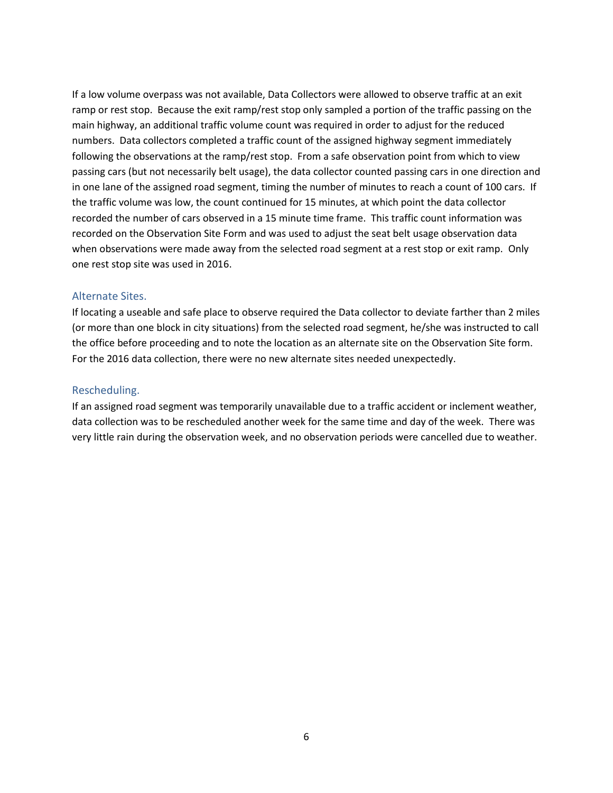If a low volume overpass was not available, Data Collectors were allowed to observe traffic at an exit ramp or rest stop. Because the exit ramp/rest stop only sampled a portion of the traffic passing on the main highway, an additional traffic volume count was required in order to adjust for the reduced numbers. Data collectors completed a traffic count of the assigned highway segment immediately following the observations at the ramp/rest stop. From a safe observation point from which to view passing cars (but not necessarily belt usage), the data collector counted passing cars in one direction and in one lane of the assigned road segment, timing the number of minutes to reach a count of 100 cars. If the traffic volume was low, the count continued for 15 minutes, at which point the data collector recorded the number of cars observed in a 15 minute time frame. This traffic count information was recorded on the Observation Site Form and was used to adjust the seat belt usage observation data when observations were made away from the selected road segment at a rest stop or exit ramp. Only one rest stop site was used in 2016.

#### Alternate Sites.

If locating a useable and safe place to observe required the Data collector to deviate farther than 2 miles (or more than one block in city situations) from the selected road segment, he/she was instructed to call the office before proceeding and to note the location as an alternate site on the Observation Site form. For the 2016 data collection, there were no new alternate sites needed unexpectedly.

#### Rescheduling.

If an assigned road segment was temporarily unavailable due to a traffic accident or inclement weather, data collection was to be rescheduled another week for the same time and day of the week. There was very little rain during the observation week, and no observation periods were cancelled due to weather.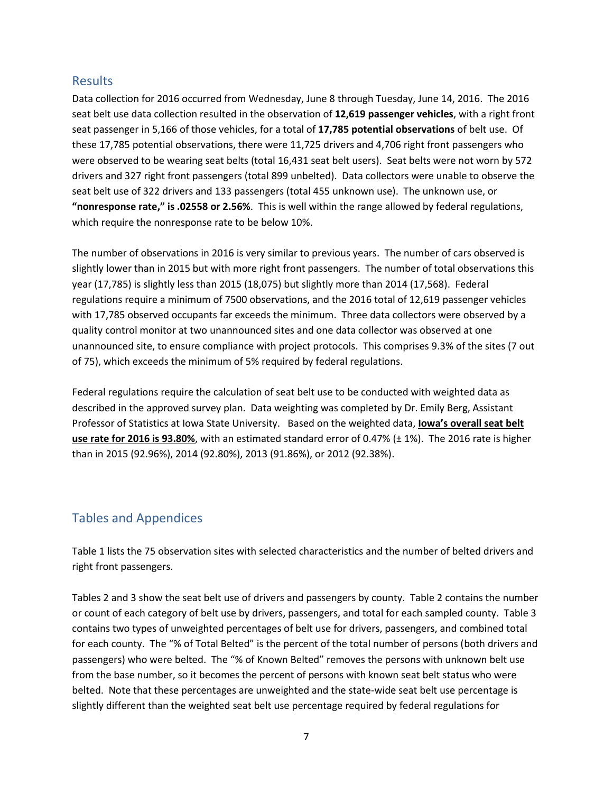### Results

Data collection for 2016 occurred from Wednesday, June 8 through Tuesday, June 14, 2016. The 2016 seat belt use data collection resulted in the observation of **12,619 passenger vehicles**, with a right front seat passenger in 5,166 of those vehicles, for a total of **17,785 potential observations** of belt use. Of these 17,785 potential observations, there were 11,725 drivers and 4,706 right front passengers who were observed to be wearing seat belts (total 16,431 seat belt users). Seat belts were not worn by 572 drivers and 327 right front passengers (total 899 unbelted). Data collectors were unable to observe the seat belt use of 322 drivers and 133 passengers (total 455 unknown use). The unknown use, or **"nonresponse rate," is .02558 or 2.56%**. This is well within the range allowed by federal regulations, which require the nonresponse rate to be below 10%.

The number of observations in 2016 is very similar to previous years. The number of cars observed is slightly lower than in 2015 but with more right front passengers. The number of total observations this year (17,785) is slightly less than 2015 (18,075) but slightly more than 2014 (17,568). Federal regulations require a minimum of 7500 observations, and the 2016 total of 12,619 passenger vehicles with 17,785 observed occupants far exceeds the minimum. Three data collectors were observed by a quality control monitor at two unannounced sites and one data collector was observed at one unannounced site, to ensure compliance with project protocols. This comprises 9.3% of the sites (7 out of 75), which exceeds the minimum of 5% required by federal regulations.

Federal regulations require the calculation of seat belt use to be conducted with weighted data as described in the approved survey plan. Data weighting was completed by Dr. Emily Berg, Assistant Professor of Statistics at Iowa State University. Based on the weighted data, **Iowa's overall seat belt use rate for 2016 is 93.80%**, with an estimated standard error of 0.47% (± 1%). The 2016 rate is higher than in 2015 (92.96%), 2014 (92.80%), 2013 (91.86%), or 2012 (92.38%).

### Tables and Appendices

Table 1 lists the 75 observation sites with selected characteristics and the number of belted drivers and right front passengers.

Tables 2 and 3 show the seat belt use of drivers and passengers by county. Table 2 contains the number or count of each category of belt use by drivers, passengers, and total for each sampled county. Table 3 contains two types of unweighted percentages of belt use for drivers, passengers, and combined total for each county. The "% of Total Belted" is the percent of the total number of persons (both drivers and passengers) who were belted. The "% of Known Belted" removes the persons with unknown belt use from the base number, so it becomes the percent of persons with known seat belt status who were belted. Note that these percentages are unweighted and the state-wide seat belt use percentage is slightly different than the weighted seat belt use percentage required by federal regulations for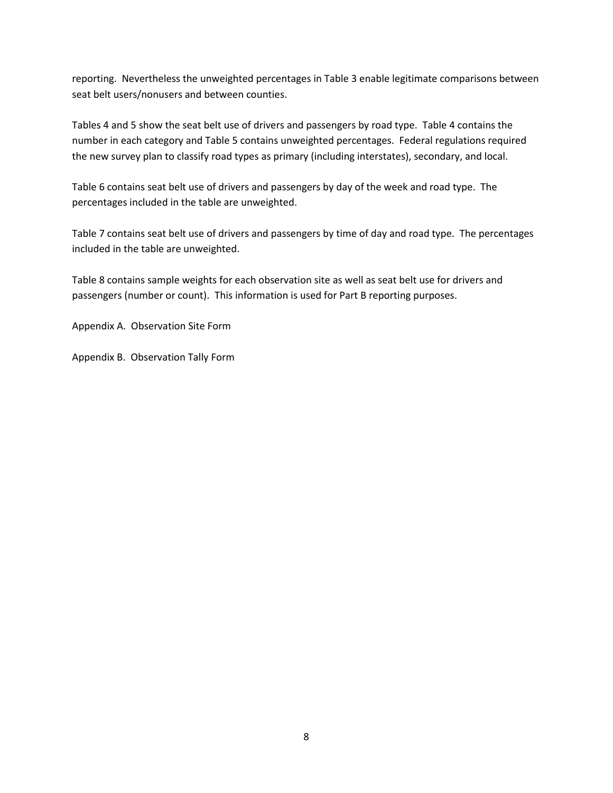reporting. Nevertheless the unweighted percentages in Table 3 enable legitimate comparisons between seat belt users/nonusers and between counties.

Tables 4 and 5 show the seat belt use of drivers and passengers by road type. Table 4 contains the number in each category and Table 5 contains unweighted percentages. Federal regulations required the new survey plan to classify road types as primary (including interstates), secondary, and local.

Table 6 contains seat belt use of drivers and passengers by day of the week and road type. The percentages included in the table are unweighted.

Table 7 contains seat belt use of drivers and passengers by time of day and road type. The percentages included in the table are unweighted.

Table 8 contains sample weights for each observation site as well as seat belt use for drivers and passengers (number or count). This information is used for Part B reporting purposes.

Appendix A. Observation Site Form

Appendix B. Observation Tally Form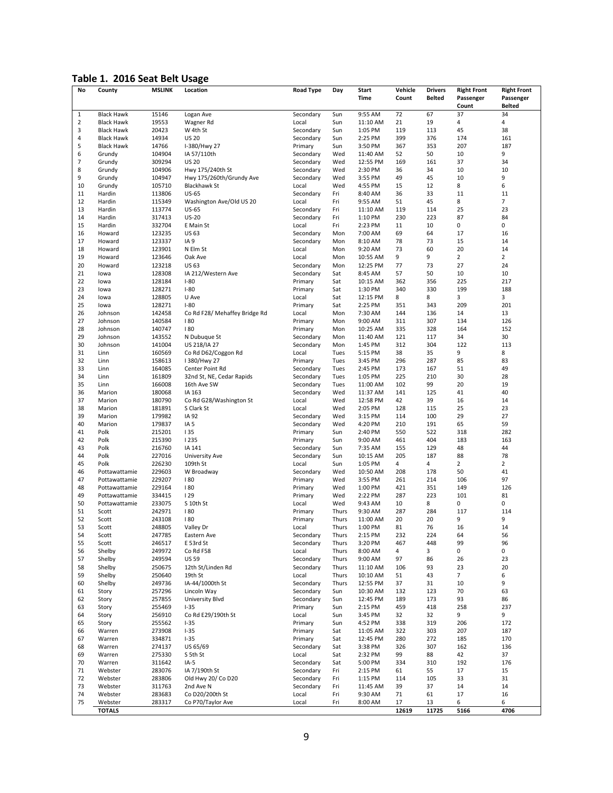### **Table 1. 2016 Seat Belt Usage**

| Time<br>Count<br><b>Belted</b><br>Passenger<br><b>Belted</b><br>Count<br>72<br><b>Black Hawk</b><br>15146<br>Logan Ave<br>Secondary<br>Sun<br>9:55 AM<br>67<br>37<br>34<br>$\mathbf{1}$<br>$\overline{2}$<br>4<br><b>Black Hawk</b><br>19553<br>Wagner Rd<br>Local<br>Sun<br>11:10 AM<br>21<br>19<br>4<br>3<br>20423<br>W 4th St<br>119<br>45<br>38<br><b>Black Hawk</b><br>Secondary<br>Sun<br>1:05 PM<br>113<br>14934<br>399<br>376<br>161<br>4<br><b>Black Hawk</b><br><b>US 20</b><br>Secondary<br>2:25 PM<br>174<br>Sun<br>5<br>207<br><b>Black Hawk</b><br>14766<br>I-380/Hwy 27<br>Primary<br>3:50 PM<br>367<br>353<br>187<br>Sun<br>9<br>6<br>Grundy<br>104904<br>IA 57/110th<br>Secondary<br>Wed<br>11:40 AM<br>52<br>50<br>10<br>7<br>309294<br><b>US 20</b><br>37<br>34<br>Grundy<br>Secondary<br>Wed<br>12:55 PM<br>169<br>161<br>8<br>10<br>10<br>Grundy<br>104906<br>Hwy 175/240th St<br>Secondary<br>Wed<br>2:30 PM<br>36<br>34<br>9<br>45<br>9<br>Grundy<br>104947<br>Hwy 175/260th/Grundy Ave<br>Secondary<br>Wed<br>3:55 PM<br>49<br>10<br>12<br>8<br>6<br>10<br>Grundy<br>105710<br><b>Blackhawk St</b><br>Local<br>Wed<br>4:55 PM<br>15<br>33<br>$11\,$<br>11<br>11<br>Hardin<br>113806<br><b>US-65</b><br>Secondary<br>Fri<br>8:40 AM<br>36<br>7<br>12<br>8<br>115349<br>Washington Ave/Old US 20<br>Local<br>Fri<br>9:55 AM<br>51<br>45<br>Hardin<br>25<br>23<br>13<br>Hardin<br>113774<br><b>US-65</b><br>Secondary<br>Fri<br>11:10 AM<br>119<br>114<br>14<br>230<br>223<br>87<br>84<br>Hardin<br>317413<br><b>US-20</b><br>Secondary<br>Fri<br>1:10 PM<br>15<br>10<br>0<br>0<br>Hardin<br>332704<br>E Main St<br>Local<br>Fri<br>2:23 PM<br>11<br>16<br>16<br>Howard<br>123235<br><b>US 63</b><br>Secondary<br>Mon<br>7:00 AM<br>69<br>64<br>17<br>17<br>73<br>15<br>14<br>Howard<br>123337<br>IA <sub>9</sub><br>Secondary<br>Mon<br>8:10 AM<br>78<br>18<br>123901<br>60<br>20<br>14<br>Howard<br>N Elm St<br>Local<br>Mon<br>9:20 AM<br>73<br>9<br>19<br>9<br>2<br>$\overline{2}$<br>Howard<br>123646<br>Oak Ave<br>Local<br>Mon<br>10:55 AM<br>20<br>73<br>27<br>24<br>Howard<br>123218<br><b>US 63</b><br>Secondary<br>Mon<br>12:25 PM<br>77<br>21<br>128308<br>57<br>50<br>10<br>10<br>IA 212/Western Ave<br>Secondary<br>Sat<br>8:45 AM<br>lowa<br>22<br>217<br>128184<br>$I-80$<br>Primary<br>362<br>356<br>225<br>lowa<br>Sat<br>10:15 AM<br>23<br>330<br>199<br>188<br>128271<br>$I-80$<br>Primary<br>Sat<br>1:30 PM<br>340<br>lowa<br>24<br>128805<br>8<br>3<br>3<br>U Ave<br>Local<br>Sat<br>12:15 PM<br>8<br>lowa<br>25<br>209<br>201<br>128271<br>$I-80$<br>Sat<br>2:25 PM<br>351<br>343<br>lowa<br>Primary<br>26<br>13<br>142458<br>Co Rd F28/ Mehaffey Bridge Rd<br>7:30 AM<br>144<br>136<br>14<br>Johnson<br>Local<br>Mon<br>27<br>307<br>126<br>Johnson<br>140584<br>180<br>Primary<br>Mon<br>9:00 AM<br>311<br>134<br>28<br>180<br>335<br>164<br>152<br>140747<br>10:25 AM<br>328<br>Johnson<br>Primary<br>Mon<br>29<br>30<br>143552<br>11:40 AM<br>121<br>117<br>34<br>Johnson<br>N Dubuque St<br>Secondary<br>Mon<br>30<br>113<br>Johnson<br>141004<br>US 218/IA 27<br>Secondary<br>Mon<br>1:45 PM<br>312<br>304<br>122<br>31<br>38<br>35<br>9<br>8<br>Linn<br>160569<br>Co Rd D62/Coggon Rd<br>Local<br>Tues<br>5:15 PM<br>32<br>296<br>287<br>85<br>83<br>Linn<br>158613<br>I 380/Hwy 27<br>3:45 PM<br>Primary<br>Tues<br>33<br>51<br>49<br>Linn<br>164085<br>Center Point Rd<br>Secondary<br>173<br>167<br>Tues<br>2:45 PM<br>34<br>225<br>210<br>30<br>28<br>Linn<br>161809<br>32nd St, NE, Cedar Rapids<br>Secondary<br>Tues<br>1:05 PM<br>35<br>102<br>99<br>20<br>19<br>Linn<br>166008<br>16th Ave SW<br>Secondary<br>11:00 AM<br>Tues<br>36<br>40<br>180068<br>Secondary<br>Wed<br>141<br>125<br>41<br>Marion<br>IA 163<br>11:37 AM<br>39<br>37<br>180790<br>Co Rd G28/Washington St<br>Local<br>Wed<br>12:58 PM<br>42<br>16<br>14<br>Marion<br>38<br>25<br>23<br>181891<br>S Clark St<br>Local<br>Wed<br>2:05 PM<br>128<br>115<br>Marion<br>39<br>100<br>29<br>27<br>179982<br>IA 92<br>Secondary<br>Wed<br>3:15 PM<br>114<br>Marion<br>40<br>191<br>65<br>59<br>179837<br>IA <sub>5</sub><br>Secondary<br>Wed<br>4:20 PM<br>210<br>Marion<br>282<br>41<br>Polk<br>215201<br>135<br>Primary<br>2:40 PM<br>550<br>522<br>318<br>Sun<br>42<br>404<br>183<br>163<br>Polk<br>215390<br><b>1235</b><br>9:00 AM<br>461<br>Primary<br>Sun<br>43<br>129<br>48<br>44<br>Polk<br>216760<br>155<br>IA 141<br>Secondary<br>Sun<br>7:35 AM<br>78<br>44<br>Polk<br>227016<br>University Ave<br>Secondary<br>205<br>187<br>88<br>Sun<br>10:15 AM<br>45<br>$\overline{2}$<br>Polk<br>226230<br>109th St<br>Local<br>Sun<br>1:05 PM<br>4<br>4<br>2<br>178<br>50<br>41<br>46<br>229603<br>Secondary<br>Wed<br>208<br>Pottawattamie<br>W Broadway<br>10:50 AM<br>97<br>47<br>229207<br>180<br>Primary<br>Wed<br>3:55 PM<br>261<br>214<br>106<br>Pottawattamie<br>48<br>351<br>126<br>229164<br>180<br>Wed<br>1:00 PM<br>421<br>149<br>Pottawattamie<br>Primary<br>49<br>287<br>223<br>101<br>81<br>334415<br>129<br>Wed<br>2:22 PM<br>Pottawattamie<br>Primary<br>8<br>0<br>0<br>50<br>233075<br>S 10th St<br>Wed<br>Pottawattamie<br>Local<br>9:43 AM<br>10<br>51<br>242971<br>180<br>Primary<br>Thurs<br>9:30 AM<br>287<br>284<br>117<br>114<br>Scott<br>52<br>9<br>9<br>Scott<br>243108<br>180<br>Primary<br>Thurs<br>11:00 AM<br>20<br>20<br>53<br>248805<br>Thurs<br>1:00 PM<br>81<br>76<br>16<br>14<br>Scott<br>Valley Dr<br>Local<br>224<br>Thurs<br>2:15 PM<br>232<br>56<br>54<br>247785<br>Scott<br>Eastern Ave<br>64<br>Secondary<br>55<br>99<br>96<br>Scott<br>246517<br>E 53rd St<br>Secondary<br>Thurs<br>3:20 PM<br>467<br>448<br>0<br>249972<br>Co Rd F58<br>Local<br>0<br>56<br>Shelby<br>Thurs<br>8:00 AM<br>4<br>3<br>57<br>249594<br><b>US 59</b><br>Secondary<br>23<br>Shelby<br>Thurs<br>9:00 AM<br>86<br>26<br>97<br>58<br>12th St/Linden Rd<br>Secondary<br>93<br>23<br>20<br>Shelby<br>250675<br>Thurs<br>11:10 AM<br>106<br>59<br>19th St<br>Local<br>43<br>7<br>6<br>Shelby<br>250640<br>Thurs<br>10:10 AM<br>51<br>9<br>249736<br>IA-44/1000th St<br>10<br>60<br>Shelby<br>Secondary<br>Thurs<br>12:55 PM<br>31<br>37<br>70<br>63<br>61<br>Story<br>257296<br>Lincoln Way<br>Secondary<br>Sun<br>10:30 AM<br>132<br>123<br>173<br>93<br>86<br>62<br>Story<br>257855<br>University Blvd<br>Secondary<br>Sun<br>12:45 PM<br>189<br>63<br>418<br>258<br>237<br>Story<br>255469<br>$1 - 35$<br>Primary<br>2:15 PM<br>459<br>Sun<br>9<br>Co Rd E29/190th St<br>9<br>64<br>Story<br>256910<br>Local<br>3:45 PM<br>32<br>32<br>Sun<br>4:52 PM<br>319<br>206<br>172<br>65<br>Story<br>255562<br>$1 - 35$<br>Primary<br>Sun<br>338<br>273908<br>$1 - 35$<br>322<br>303<br>207<br>187<br>66<br>Warren<br>Primary<br>11:05 AM<br>Sat<br>170<br>Warren<br>334871<br>$1 - 35$<br>Primary<br>12:45 PM<br>280<br>272<br>185<br>67<br>Sat<br>307<br>68<br>Warren<br>274137<br>US 65/69<br>Secondary<br>3:38 PM<br>326<br>162<br>136<br>Sat<br>37<br>69<br>Warren<br>275330<br>S 5th St<br>Local<br>2:32 PM<br>99<br>88<br>42<br>Sat<br>192<br>176<br>70<br>Warren<br>311642<br>$IA-5$<br>Secondary<br>5:00 PM<br>334<br>310<br>Sat<br>Secondary<br>71<br>Webster<br>283076<br>IA 7/190th St<br>Fri<br>2:15 PM<br>55<br>17<br>15<br>61<br>Old Hwy 20/ Co D20<br>31<br>72<br>Webster<br>283806<br>Secondary<br>1:15 PM<br>114<br>105<br>33<br>Fri<br>73<br>Secondary<br>39<br>14<br>Webster<br>311763<br>2nd Ave N<br>Fri<br>11:45 AM<br>37<br>14<br>Co D20/200th St<br>74<br>Webster<br>283683<br>Local<br>9:30 AM<br>71<br>61<br>17<br>16<br>Fri<br>75<br>Webster<br>283317<br>Co P70/Taylor Ave<br>Local<br>Fri<br>8:00 AM<br>17<br>13<br>6<br>6 | No | County | <b>MSLINK</b> | Location | <b>Road Type</b> | Day | Start | Vehicle | <b>Drivers</b> | <b>Right Front</b> | <b>Right Front</b> |
|------------------------------------------------------------------------------------------------------------------------------------------------------------------------------------------------------------------------------------------------------------------------------------------------------------------------------------------------------------------------------------------------------------------------------------------------------------------------------------------------------------------------------------------------------------------------------------------------------------------------------------------------------------------------------------------------------------------------------------------------------------------------------------------------------------------------------------------------------------------------------------------------------------------------------------------------------------------------------------------------------------------------------------------------------------------------------------------------------------------------------------------------------------------------------------------------------------------------------------------------------------------------------------------------------------------------------------------------------------------------------------------------------------------------------------------------------------------------------------------------------------------------------------------------------------------------------------------------------------------------------------------------------------------------------------------------------------------------------------------------------------------------------------------------------------------------------------------------------------------------------------------------------------------------------------------------------------------------------------------------------------------------------------------------------------------------------------------------------------------------------------------------------------------------------------------------------------------------------------------------------------------------------------------------------------------------------------------------------------------------------------------------------------------------------------------------------------------------------------------------------------------------------------------------------------------------------------------------------------------------------------------------------------------------------------------------------------------------------------------------------------------------------------------------------------------------------------------------------------------------------------------------------------------------------------------------------------------------------------------------------------------------------------------------------------------------------------------------------------------------------------------------------------------------------------------------------------------------------------------------------------------------------------------------------------------------------------------------------------------------------------------------------------------------------------------------------------------------------------------------------------------------------------------------------------------------------------------------------------------------------------------------------------------------------------------------------------------------------------------------------------------------------------------------------------------------------------------------------------------------------------------------------------------------------------------------------------------------------------------------------------------------------------------------------------------------------------------------------------------------------------------------------------------------------------------------------------------------------------------------------------------------------------------------------------------------------------------------------------------------------------------------------------------------------------------------------------------------------------------------------------------------------------------------------------------------------------------------------------------------------------------------------------------------------------------------------------------------------------------------------------------------------------------------------------------------------------------------------------------------------------------------------------------------------------------------------------------------------------------------------------------------------------------------------------------------------------------------------------------------------------------------------------------------------------------------------------------------------------------------------------------------------------------------------------------------------------------------------------------------------------------------------------------------------------------------------------------------------------------------------------------------------------------------------------------------------------------------------------------------------------------------------------------------------------------------------------------------------------------------------------------------------------------------------------------------------------------------------------------------------------------------------------------------------------------------------------------------------------------------------------------------------------------------------------------------------------------------------------------------------------------------------------------------------------------------------------------------------------------------------------------------------------------------------------------------------------------------------------------------------------------------------------------------------------------------------------------------------------------------------------------------------------------------------------------------------------------------------------------------------------------------------------------------------------------------------------------------------------------------------------------------------------------------------------------------------------------------------------------------------------------------------------------------------------------------------------------------------------------------------------------------------------------------------------------------------------------------------------------------------------------------------------------------------------------------------------------------------------------------------------------------------------------------------------------------------------------------------------------------------------------------------------------------------------------------------------------------------------------------------------------------------------------------------------------------------------------------------------------------------------------------------------------------------------------------|----|--------|---------------|----------|------------------|-----|-------|---------|----------------|--------------------|--------------------|
|                                                                                                                                                                                                                                                                                                                                                                                                                                                                                                                                                                                                                                                                                                                                                                                                                                                                                                                                                                                                                                                                                                                                                                                                                                                                                                                                                                                                                                                                                                                                                                                                                                                                                                                                                                                                                                                                                                                                                                                                                                                                                                                                                                                                                                                                                                                                                                                                                                                                                                                                                                                                                                                                                                                                                                                                                                                                                                                                                                                                                                                                                                                                                                                                                                                                                                                                                                                                                                                                                                                                                                                                                                                                                                                                                                                                                                                                                                                                                                                                                                                                                                                                                                                                                                                                                                                                                                                                                                                                                                                                                                                                                                                                                                                                                                                                                                                                                                                                                                                                                                                                                                                                                                                                                                                                                                                                                                                                                                                                                                                                                                                                                                                                                                                                                                                                                                                                                                                                                                                                                                                                                                                                                                                                                                                                                                                                                                                                                                                                                                                                                                                                                                                                                                                                                                                                                                                                                                                                                                                                                                                                                                                                                                                                                                                                                                                                                                                                                                                                                                                                                                                                                                                                                                |    |        |               |          |                  |     |       |         |                |                    | Passenger          |
|                                                                                                                                                                                                                                                                                                                                                                                                                                                                                                                                                                                                                                                                                                                                                                                                                                                                                                                                                                                                                                                                                                                                                                                                                                                                                                                                                                                                                                                                                                                                                                                                                                                                                                                                                                                                                                                                                                                                                                                                                                                                                                                                                                                                                                                                                                                                                                                                                                                                                                                                                                                                                                                                                                                                                                                                                                                                                                                                                                                                                                                                                                                                                                                                                                                                                                                                                                                                                                                                                                                                                                                                                                                                                                                                                                                                                                                                                                                                                                                                                                                                                                                                                                                                                                                                                                                                                                                                                                                                                                                                                                                                                                                                                                                                                                                                                                                                                                                                                                                                                                                                                                                                                                                                                                                                                                                                                                                                                                                                                                                                                                                                                                                                                                                                                                                                                                                                                                                                                                                                                                                                                                                                                                                                                                                                                                                                                                                                                                                                                                                                                                                                                                                                                                                                                                                                                                                                                                                                                                                                                                                                                                                                                                                                                                                                                                                                                                                                                                                                                                                                                                                                                                                                                                |    |        |               |          |                  |     |       |         |                |                    |                    |
|                                                                                                                                                                                                                                                                                                                                                                                                                                                                                                                                                                                                                                                                                                                                                                                                                                                                                                                                                                                                                                                                                                                                                                                                                                                                                                                                                                                                                                                                                                                                                                                                                                                                                                                                                                                                                                                                                                                                                                                                                                                                                                                                                                                                                                                                                                                                                                                                                                                                                                                                                                                                                                                                                                                                                                                                                                                                                                                                                                                                                                                                                                                                                                                                                                                                                                                                                                                                                                                                                                                                                                                                                                                                                                                                                                                                                                                                                                                                                                                                                                                                                                                                                                                                                                                                                                                                                                                                                                                                                                                                                                                                                                                                                                                                                                                                                                                                                                                                                                                                                                                                                                                                                                                                                                                                                                                                                                                                                                                                                                                                                                                                                                                                                                                                                                                                                                                                                                                                                                                                                                                                                                                                                                                                                                                                                                                                                                                                                                                                                                                                                                                                                                                                                                                                                                                                                                                                                                                                                                                                                                                                                                                                                                                                                                                                                                                                                                                                                                                                                                                                                                                                                                                                                                |    |        |               |          |                  |     |       |         |                |                    |                    |
|                                                                                                                                                                                                                                                                                                                                                                                                                                                                                                                                                                                                                                                                                                                                                                                                                                                                                                                                                                                                                                                                                                                                                                                                                                                                                                                                                                                                                                                                                                                                                                                                                                                                                                                                                                                                                                                                                                                                                                                                                                                                                                                                                                                                                                                                                                                                                                                                                                                                                                                                                                                                                                                                                                                                                                                                                                                                                                                                                                                                                                                                                                                                                                                                                                                                                                                                                                                                                                                                                                                                                                                                                                                                                                                                                                                                                                                                                                                                                                                                                                                                                                                                                                                                                                                                                                                                                                                                                                                                                                                                                                                                                                                                                                                                                                                                                                                                                                                                                                                                                                                                                                                                                                                                                                                                                                                                                                                                                                                                                                                                                                                                                                                                                                                                                                                                                                                                                                                                                                                                                                                                                                                                                                                                                                                                                                                                                                                                                                                                                                                                                                                                                                                                                                                                                                                                                                                                                                                                                                                                                                                                                                                                                                                                                                                                                                                                                                                                                                                                                                                                                                                                                                                                                                |    |        |               |          |                  |     |       |         |                |                    |                    |
|                                                                                                                                                                                                                                                                                                                                                                                                                                                                                                                                                                                                                                                                                                                                                                                                                                                                                                                                                                                                                                                                                                                                                                                                                                                                                                                                                                                                                                                                                                                                                                                                                                                                                                                                                                                                                                                                                                                                                                                                                                                                                                                                                                                                                                                                                                                                                                                                                                                                                                                                                                                                                                                                                                                                                                                                                                                                                                                                                                                                                                                                                                                                                                                                                                                                                                                                                                                                                                                                                                                                                                                                                                                                                                                                                                                                                                                                                                                                                                                                                                                                                                                                                                                                                                                                                                                                                                                                                                                                                                                                                                                                                                                                                                                                                                                                                                                                                                                                                                                                                                                                                                                                                                                                                                                                                                                                                                                                                                                                                                                                                                                                                                                                                                                                                                                                                                                                                                                                                                                                                                                                                                                                                                                                                                                                                                                                                                                                                                                                                                                                                                                                                                                                                                                                                                                                                                                                                                                                                                                                                                                                                                                                                                                                                                                                                                                                                                                                                                                                                                                                                                                                                                                                                                |    |        |               |          |                  |     |       |         |                |                    |                    |
|                                                                                                                                                                                                                                                                                                                                                                                                                                                                                                                                                                                                                                                                                                                                                                                                                                                                                                                                                                                                                                                                                                                                                                                                                                                                                                                                                                                                                                                                                                                                                                                                                                                                                                                                                                                                                                                                                                                                                                                                                                                                                                                                                                                                                                                                                                                                                                                                                                                                                                                                                                                                                                                                                                                                                                                                                                                                                                                                                                                                                                                                                                                                                                                                                                                                                                                                                                                                                                                                                                                                                                                                                                                                                                                                                                                                                                                                                                                                                                                                                                                                                                                                                                                                                                                                                                                                                                                                                                                                                                                                                                                                                                                                                                                                                                                                                                                                                                                                                                                                                                                                                                                                                                                                                                                                                                                                                                                                                                                                                                                                                                                                                                                                                                                                                                                                                                                                                                                                                                                                                                                                                                                                                                                                                                                                                                                                                                                                                                                                                                                                                                                                                                                                                                                                                                                                                                                                                                                                                                                                                                                                                                                                                                                                                                                                                                                                                                                                                                                                                                                                                                                                                                                                                                |    |        |               |          |                  |     |       |         |                |                    |                    |
|                                                                                                                                                                                                                                                                                                                                                                                                                                                                                                                                                                                                                                                                                                                                                                                                                                                                                                                                                                                                                                                                                                                                                                                                                                                                                                                                                                                                                                                                                                                                                                                                                                                                                                                                                                                                                                                                                                                                                                                                                                                                                                                                                                                                                                                                                                                                                                                                                                                                                                                                                                                                                                                                                                                                                                                                                                                                                                                                                                                                                                                                                                                                                                                                                                                                                                                                                                                                                                                                                                                                                                                                                                                                                                                                                                                                                                                                                                                                                                                                                                                                                                                                                                                                                                                                                                                                                                                                                                                                                                                                                                                                                                                                                                                                                                                                                                                                                                                                                                                                                                                                                                                                                                                                                                                                                                                                                                                                                                                                                                                                                                                                                                                                                                                                                                                                                                                                                                                                                                                                                                                                                                                                                                                                                                                                                                                                                                                                                                                                                                                                                                                                                                                                                                                                                                                                                                                                                                                                                                                                                                                                                                                                                                                                                                                                                                                                                                                                                                                                                                                                                                                                                                                                                                |    |        |               |          |                  |     |       |         |                |                    |                    |
|                                                                                                                                                                                                                                                                                                                                                                                                                                                                                                                                                                                                                                                                                                                                                                                                                                                                                                                                                                                                                                                                                                                                                                                                                                                                                                                                                                                                                                                                                                                                                                                                                                                                                                                                                                                                                                                                                                                                                                                                                                                                                                                                                                                                                                                                                                                                                                                                                                                                                                                                                                                                                                                                                                                                                                                                                                                                                                                                                                                                                                                                                                                                                                                                                                                                                                                                                                                                                                                                                                                                                                                                                                                                                                                                                                                                                                                                                                                                                                                                                                                                                                                                                                                                                                                                                                                                                                                                                                                                                                                                                                                                                                                                                                                                                                                                                                                                                                                                                                                                                                                                                                                                                                                                                                                                                                                                                                                                                                                                                                                                                                                                                                                                                                                                                                                                                                                                                                                                                                                                                                                                                                                                                                                                                                                                                                                                                                                                                                                                                                                                                                                                                                                                                                                                                                                                                                                                                                                                                                                                                                                                                                                                                                                                                                                                                                                                                                                                                                                                                                                                                                                                                                                                                                |    |        |               |          |                  |     |       |         |                |                    |                    |
|                                                                                                                                                                                                                                                                                                                                                                                                                                                                                                                                                                                                                                                                                                                                                                                                                                                                                                                                                                                                                                                                                                                                                                                                                                                                                                                                                                                                                                                                                                                                                                                                                                                                                                                                                                                                                                                                                                                                                                                                                                                                                                                                                                                                                                                                                                                                                                                                                                                                                                                                                                                                                                                                                                                                                                                                                                                                                                                                                                                                                                                                                                                                                                                                                                                                                                                                                                                                                                                                                                                                                                                                                                                                                                                                                                                                                                                                                                                                                                                                                                                                                                                                                                                                                                                                                                                                                                                                                                                                                                                                                                                                                                                                                                                                                                                                                                                                                                                                                                                                                                                                                                                                                                                                                                                                                                                                                                                                                                                                                                                                                                                                                                                                                                                                                                                                                                                                                                                                                                                                                                                                                                                                                                                                                                                                                                                                                                                                                                                                                                                                                                                                                                                                                                                                                                                                                                                                                                                                                                                                                                                                                                                                                                                                                                                                                                                                                                                                                                                                                                                                                                                                                                                                                                |    |        |               |          |                  |     |       |         |                |                    |                    |
|                                                                                                                                                                                                                                                                                                                                                                                                                                                                                                                                                                                                                                                                                                                                                                                                                                                                                                                                                                                                                                                                                                                                                                                                                                                                                                                                                                                                                                                                                                                                                                                                                                                                                                                                                                                                                                                                                                                                                                                                                                                                                                                                                                                                                                                                                                                                                                                                                                                                                                                                                                                                                                                                                                                                                                                                                                                                                                                                                                                                                                                                                                                                                                                                                                                                                                                                                                                                                                                                                                                                                                                                                                                                                                                                                                                                                                                                                                                                                                                                                                                                                                                                                                                                                                                                                                                                                                                                                                                                                                                                                                                                                                                                                                                                                                                                                                                                                                                                                                                                                                                                                                                                                                                                                                                                                                                                                                                                                                                                                                                                                                                                                                                                                                                                                                                                                                                                                                                                                                                                                                                                                                                                                                                                                                                                                                                                                                                                                                                                                                                                                                                                                                                                                                                                                                                                                                                                                                                                                                                                                                                                                                                                                                                                                                                                                                                                                                                                                                                                                                                                                                                                                                                                                                |    |        |               |          |                  |     |       |         |                |                    |                    |
|                                                                                                                                                                                                                                                                                                                                                                                                                                                                                                                                                                                                                                                                                                                                                                                                                                                                                                                                                                                                                                                                                                                                                                                                                                                                                                                                                                                                                                                                                                                                                                                                                                                                                                                                                                                                                                                                                                                                                                                                                                                                                                                                                                                                                                                                                                                                                                                                                                                                                                                                                                                                                                                                                                                                                                                                                                                                                                                                                                                                                                                                                                                                                                                                                                                                                                                                                                                                                                                                                                                                                                                                                                                                                                                                                                                                                                                                                                                                                                                                                                                                                                                                                                                                                                                                                                                                                                                                                                                                                                                                                                                                                                                                                                                                                                                                                                                                                                                                                                                                                                                                                                                                                                                                                                                                                                                                                                                                                                                                                                                                                                                                                                                                                                                                                                                                                                                                                                                                                                                                                                                                                                                                                                                                                                                                                                                                                                                                                                                                                                                                                                                                                                                                                                                                                                                                                                                                                                                                                                                                                                                                                                                                                                                                                                                                                                                                                                                                                                                                                                                                                                                                                                                                                                |    |        |               |          |                  |     |       |         |                |                    |                    |
|                                                                                                                                                                                                                                                                                                                                                                                                                                                                                                                                                                                                                                                                                                                                                                                                                                                                                                                                                                                                                                                                                                                                                                                                                                                                                                                                                                                                                                                                                                                                                                                                                                                                                                                                                                                                                                                                                                                                                                                                                                                                                                                                                                                                                                                                                                                                                                                                                                                                                                                                                                                                                                                                                                                                                                                                                                                                                                                                                                                                                                                                                                                                                                                                                                                                                                                                                                                                                                                                                                                                                                                                                                                                                                                                                                                                                                                                                                                                                                                                                                                                                                                                                                                                                                                                                                                                                                                                                                                                                                                                                                                                                                                                                                                                                                                                                                                                                                                                                                                                                                                                                                                                                                                                                                                                                                                                                                                                                                                                                                                                                                                                                                                                                                                                                                                                                                                                                                                                                                                                                                                                                                                                                                                                                                                                                                                                                                                                                                                                                                                                                                                                                                                                                                                                                                                                                                                                                                                                                                                                                                                                                                                                                                                                                                                                                                                                                                                                                                                                                                                                                                                                                                                                                                |    |        |               |          |                  |     |       |         |                |                    |                    |
|                                                                                                                                                                                                                                                                                                                                                                                                                                                                                                                                                                                                                                                                                                                                                                                                                                                                                                                                                                                                                                                                                                                                                                                                                                                                                                                                                                                                                                                                                                                                                                                                                                                                                                                                                                                                                                                                                                                                                                                                                                                                                                                                                                                                                                                                                                                                                                                                                                                                                                                                                                                                                                                                                                                                                                                                                                                                                                                                                                                                                                                                                                                                                                                                                                                                                                                                                                                                                                                                                                                                                                                                                                                                                                                                                                                                                                                                                                                                                                                                                                                                                                                                                                                                                                                                                                                                                                                                                                                                                                                                                                                                                                                                                                                                                                                                                                                                                                                                                                                                                                                                                                                                                                                                                                                                                                                                                                                                                                                                                                                                                                                                                                                                                                                                                                                                                                                                                                                                                                                                                                                                                                                                                                                                                                                                                                                                                                                                                                                                                                                                                                                                                                                                                                                                                                                                                                                                                                                                                                                                                                                                                                                                                                                                                                                                                                                                                                                                                                                                                                                                                                                                                                                                                                |    |        |               |          |                  |     |       |         |                |                    |                    |
|                                                                                                                                                                                                                                                                                                                                                                                                                                                                                                                                                                                                                                                                                                                                                                                                                                                                                                                                                                                                                                                                                                                                                                                                                                                                                                                                                                                                                                                                                                                                                                                                                                                                                                                                                                                                                                                                                                                                                                                                                                                                                                                                                                                                                                                                                                                                                                                                                                                                                                                                                                                                                                                                                                                                                                                                                                                                                                                                                                                                                                                                                                                                                                                                                                                                                                                                                                                                                                                                                                                                                                                                                                                                                                                                                                                                                                                                                                                                                                                                                                                                                                                                                                                                                                                                                                                                                                                                                                                                                                                                                                                                                                                                                                                                                                                                                                                                                                                                                                                                                                                                                                                                                                                                                                                                                                                                                                                                                                                                                                                                                                                                                                                                                                                                                                                                                                                                                                                                                                                                                                                                                                                                                                                                                                                                                                                                                                                                                                                                                                                                                                                                                                                                                                                                                                                                                                                                                                                                                                                                                                                                                                                                                                                                                                                                                                                                                                                                                                                                                                                                                                                                                                                                                                |    |        |               |          |                  |     |       |         |                |                    |                    |
|                                                                                                                                                                                                                                                                                                                                                                                                                                                                                                                                                                                                                                                                                                                                                                                                                                                                                                                                                                                                                                                                                                                                                                                                                                                                                                                                                                                                                                                                                                                                                                                                                                                                                                                                                                                                                                                                                                                                                                                                                                                                                                                                                                                                                                                                                                                                                                                                                                                                                                                                                                                                                                                                                                                                                                                                                                                                                                                                                                                                                                                                                                                                                                                                                                                                                                                                                                                                                                                                                                                                                                                                                                                                                                                                                                                                                                                                                                                                                                                                                                                                                                                                                                                                                                                                                                                                                                                                                                                                                                                                                                                                                                                                                                                                                                                                                                                                                                                                                                                                                                                                                                                                                                                                                                                                                                                                                                                                                                                                                                                                                                                                                                                                                                                                                                                                                                                                                                                                                                                                                                                                                                                                                                                                                                                                                                                                                                                                                                                                                                                                                                                                                                                                                                                                                                                                                                                                                                                                                                                                                                                                                                                                                                                                                                                                                                                                                                                                                                                                                                                                                                                                                                                                                                |    |        |               |          |                  |     |       |         |                |                    |                    |
|                                                                                                                                                                                                                                                                                                                                                                                                                                                                                                                                                                                                                                                                                                                                                                                                                                                                                                                                                                                                                                                                                                                                                                                                                                                                                                                                                                                                                                                                                                                                                                                                                                                                                                                                                                                                                                                                                                                                                                                                                                                                                                                                                                                                                                                                                                                                                                                                                                                                                                                                                                                                                                                                                                                                                                                                                                                                                                                                                                                                                                                                                                                                                                                                                                                                                                                                                                                                                                                                                                                                                                                                                                                                                                                                                                                                                                                                                                                                                                                                                                                                                                                                                                                                                                                                                                                                                                                                                                                                                                                                                                                                                                                                                                                                                                                                                                                                                                                                                                                                                                                                                                                                                                                                                                                                                                                                                                                                                                                                                                                                                                                                                                                                                                                                                                                                                                                                                                                                                                                                                                                                                                                                                                                                                                                                                                                                                                                                                                                                                                                                                                                                                                                                                                                                                                                                                                                                                                                                                                                                                                                                                                                                                                                                                                                                                                                                                                                                                                                                                                                                                                                                                                                                                                |    |        |               |          |                  |     |       |         |                |                    |                    |
|                                                                                                                                                                                                                                                                                                                                                                                                                                                                                                                                                                                                                                                                                                                                                                                                                                                                                                                                                                                                                                                                                                                                                                                                                                                                                                                                                                                                                                                                                                                                                                                                                                                                                                                                                                                                                                                                                                                                                                                                                                                                                                                                                                                                                                                                                                                                                                                                                                                                                                                                                                                                                                                                                                                                                                                                                                                                                                                                                                                                                                                                                                                                                                                                                                                                                                                                                                                                                                                                                                                                                                                                                                                                                                                                                                                                                                                                                                                                                                                                                                                                                                                                                                                                                                                                                                                                                                                                                                                                                                                                                                                                                                                                                                                                                                                                                                                                                                                                                                                                                                                                                                                                                                                                                                                                                                                                                                                                                                                                                                                                                                                                                                                                                                                                                                                                                                                                                                                                                                                                                                                                                                                                                                                                                                                                                                                                                                                                                                                                                                                                                                                                                                                                                                                                                                                                                                                                                                                                                                                                                                                                                                                                                                                                                                                                                                                                                                                                                                                                                                                                                                                                                                                                                                |    |        |               |          |                  |     |       |         |                |                    |                    |
|                                                                                                                                                                                                                                                                                                                                                                                                                                                                                                                                                                                                                                                                                                                                                                                                                                                                                                                                                                                                                                                                                                                                                                                                                                                                                                                                                                                                                                                                                                                                                                                                                                                                                                                                                                                                                                                                                                                                                                                                                                                                                                                                                                                                                                                                                                                                                                                                                                                                                                                                                                                                                                                                                                                                                                                                                                                                                                                                                                                                                                                                                                                                                                                                                                                                                                                                                                                                                                                                                                                                                                                                                                                                                                                                                                                                                                                                                                                                                                                                                                                                                                                                                                                                                                                                                                                                                                                                                                                                                                                                                                                                                                                                                                                                                                                                                                                                                                                                                                                                                                                                                                                                                                                                                                                                                                                                                                                                                                                                                                                                                                                                                                                                                                                                                                                                                                                                                                                                                                                                                                                                                                                                                                                                                                                                                                                                                                                                                                                                                                                                                                                                                                                                                                                                                                                                                                                                                                                                                                                                                                                                                                                                                                                                                                                                                                                                                                                                                                                                                                                                                                                                                                                                                                |    |        |               |          |                  |     |       |         |                |                    |                    |
|                                                                                                                                                                                                                                                                                                                                                                                                                                                                                                                                                                                                                                                                                                                                                                                                                                                                                                                                                                                                                                                                                                                                                                                                                                                                                                                                                                                                                                                                                                                                                                                                                                                                                                                                                                                                                                                                                                                                                                                                                                                                                                                                                                                                                                                                                                                                                                                                                                                                                                                                                                                                                                                                                                                                                                                                                                                                                                                                                                                                                                                                                                                                                                                                                                                                                                                                                                                                                                                                                                                                                                                                                                                                                                                                                                                                                                                                                                                                                                                                                                                                                                                                                                                                                                                                                                                                                                                                                                                                                                                                                                                                                                                                                                                                                                                                                                                                                                                                                                                                                                                                                                                                                                                                                                                                                                                                                                                                                                                                                                                                                                                                                                                                                                                                                                                                                                                                                                                                                                                                                                                                                                                                                                                                                                                                                                                                                                                                                                                                                                                                                                                                                                                                                                                                                                                                                                                                                                                                                                                                                                                                                                                                                                                                                                                                                                                                                                                                                                                                                                                                                                                                                                                                                                |    |        |               |          |                  |     |       |         |                |                    |                    |
|                                                                                                                                                                                                                                                                                                                                                                                                                                                                                                                                                                                                                                                                                                                                                                                                                                                                                                                                                                                                                                                                                                                                                                                                                                                                                                                                                                                                                                                                                                                                                                                                                                                                                                                                                                                                                                                                                                                                                                                                                                                                                                                                                                                                                                                                                                                                                                                                                                                                                                                                                                                                                                                                                                                                                                                                                                                                                                                                                                                                                                                                                                                                                                                                                                                                                                                                                                                                                                                                                                                                                                                                                                                                                                                                                                                                                                                                                                                                                                                                                                                                                                                                                                                                                                                                                                                                                                                                                                                                                                                                                                                                                                                                                                                                                                                                                                                                                                                                                                                                                                                                                                                                                                                                                                                                                                                                                                                                                                                                                                                                                                                                                                                                                                                                                                                                                                                                                                                                                                                                                                                                                                                                                                                                                                                                                                                                                                                                                                                                                                                                                                                                                                                                                                                                                                                                                                                                                                                                                                                                                                                                                                                                                                                                                                                                                                                                                                                                                                                                                                                                                                                                                                                                                                |    |        |               |          |                  |     |       |         |                |                    |                    |
|                                                                                                                                                                                                                                                                                                                                                                                                                                                                                                                                                                                                                                                                                                                                                                                                                                                                                                                                                                                                                                                                                                                                                                                                                                                                                                                                                                                                                                                                                                                                                                                                                                                                                                                                                                                                                                                                                                                                                                                                                                                                                                                                                                                                                                                                                                                                                                                                                                                                                                                                                                                                                                                                                                                                                                                                                                                                                                                                                                                                                                                                                                                                                                                                                                                                                                                                                                                                                                                                                                                                                                                                                                                                                                                                                                                                                                                                                                                                                                                                                                                                                                                                                                                                                                                                                                                                                                                                                                                                                                                                                                                                                                                                                                                                                                                                                                                                                                                                                                                                                                                                                                                                                                                                                                                                                                                                                                                                                                                                                                                                                                                                                                                                                                                                                                                                                                                                                                                                                                                                                                                                                                                                                                                                                                                                                                                                                                                                                                                                                                                                                                                                                                                                                                                                                                                                                                                                                                                                                                                                                                                                                                                                                                                                                                                                                                                                                                                                                                                                                                                                                                                                                                                                                                |    |        |               |          |                  |     |       |         |                |                    |                    |
|                                                                                                                                                                                                                                                                                                                                                                                                                                                                                                                                                                                                                                                                                                                                                                                                                                                                                                                                                                                                                                                                                                                                                                                                                                                                                                                                                                                                                                                                                                                                                                                                                                                                                                                                                                                                                                                                                                                                                                                                                                                                                                                                                                                                                                                                                                                                                                                                                                                                                                                                                                                                                                                                                                                                                                                                                                                                                                                                                                                                                                                                                                                                                                                                                                                                                                                                                                                                                                                                                                                                                                                                                                                                                                                                                                                                                                                                                                                                                                                                                                                                                                                                                                                                                                                                                                                                                                                                                                                                                                                                                                                                                                                                                                                                                                                                                                                                                                                                                                                                                                                                                                                                                                                                                                                                                                                                                                                                                                                                                                                                                                                                                                                                                                                                                                                                                                                                                                                                                                                                                                                                                                                                                                                                                                                                                                                                                                                                                                                                                                                                                                                                                                                                                                                                                                                                                                                                                                                                                                                                                                                                                                                                                                                                                                                                                                                                                                                                                                                                                                                                                                                                                                                                                                |    |        |               |          |                  |     |       |         |                |                    |                    |
|                                                                                                                                                                                                                                                                                                                                                                                                                                                                                                                                                                                                                                                                                                                                                                                                                                                                                                                                                                                                                                                                                                                                                                                                                                                                                                                                                                                                                                                                                                                                                                                                                                                                                                                                                                                                                                                                                                                                                                                                                                                                                                                                                                                                                                                                                                                                                                                                                                                                                                                                                                                                                                                                                                                                                                                                                                                                                                                                                                                                                                                                                                                                                                                                                                                                                                                                                                                                                                                                                                                                                                                                                                                                                                                                                                                                                                                                                                                                                                                                                                                                                                                                                                                                                                                                                                                                                                                                                                                                                                                                                                                                                                                                                                                                                                                                                                                                                                                                                                                                                                                                                                                                                                                                                                                                                                                                                                                                                                                                                                                                                                                                                                                                                                                                                                                                                                                                                                                                                                                                                                                                                                                                                                                                                                                                                                                                                                                                                                                                                                                                                                                                                                                                                                                                                                                                                                                                                                                                                                                                                                                                                                                                                                                                                                                                                                                                                                                                                                                                                                                                                                                                                                                                                                |    |        |               |          |                  |     |       |         |                |                    |                    |
|                                                                                                                                                                                                                                                                                                                                                                                                                                                                                                                                                                                                                                                                                                                                                                                                                                                                                                                                                                                                                                                                                                                                                                                                                                                                                                                                                                                                                                                                                                                                                                                                                                                                                                                                                                                                                                                                                                                                                                                                                                                                                                                                                                                                                                                                                                                                                                                                                                                                                                                                                                                                                                                                                                                                                                                                                                                                                                                                                                                                                                                                                                                                                                                                                                                                                                                                                                                                                                                                                                                                                                                                                                                                                                                                                                                                                                                                                                                                                                                                                                                                                                                                                                                                                                                                                                                                                                                                                                                                                                                                                                                                                                                                                                                                                                                                                                                                                                                                                                                                                                                                                                                                                                                                                                                                                                                                                                                                                                                                                                                                                                                                                                                                                                                                                                                                                                                                                                                                                                                                                                                                                                                                                                                                                                                                                                                                                                                                                                                                                                                                                                                                                                                                                                                                                                                                                                                                                                                                                                                                                                                                                                                                                                                                                                                                                                                                                                                                                                                                                                                                                                                                                                                                                                |    |        |               |          |                  |     |       |         |                |                    |                    |
|                                                                                                                                                                                                                                                                                                                                                                                                                                                                                                                                                                                                                                                                                                                                                                                                                                                                                                                                                                                                                                                                                                                                                                                                                                                                                                                                                                                                                                                                                                                                                                                                                                                                                                                                                                                                                                                                                                                                                                                                                                                                                                                                                                                                                                                                                                                                                                                                                                                                                                                                                                                                                                                                                                                                                                                                                                                                                                                                                                                                                                                                                                                                                                                                                                                                                                                                                                                                                                                                                                                                                                                                                                                                                                                                                                                                                                                                                                                                                                                                                                                                                                                                                                                                                                                                                                                                                                                                                                                                                                                                                                                                                                                                                                                                                                                                                                                                                                                                                                                                                                                                                                                                                                                                                                                                                                                                                                                                                                                                                                                                                                                                                                                                                                                                                                                                                                                                                                                                                                                                                                                                                                                                                                                                                                                                                                                                                                                                                                                                                                                                                                                                                                                                                                                                                                                                                                                                                                                                                                                                                                                                                                                                                                                                                                                                                                                                                                                                                                                                                                                                                                                                                                                                                                |    |        |               |          |                  |     |       |         |                |                    |                    |
|                                                                                                                                                                                                                                                                                                                                                                                                                                                                                                                                                                                                                                                                                                                                                                                                                                                                                                                                                                                                                                                                                                                                                                                                                                                                                                                                                                                                                                                                                                                                                                                                                                                                                                                                                                                                                                                                                                                                                                                                                                                                                                                                                                                                                                                                                                                                                                                                                                                                                                                                                                                                                                                                                                                                                                                                                                                                                                                                                                                                                                                                                                                                                                                                                                                                                                                                                                                                                                                                                                                                                                                                                                                                                                                                                                                                                                                                                                                                                                                                                                                                                                                                                                                                                                                                                                                                                                                                                                                                                                                                                                                                                                                                                                                                                                                                                                                                                                                                                                                                                                                                                                                                                                                                                                                                                                                                                                                                                                                                                                                                                                                                                                                                                                                                                                                                                                                                                                                                                                                                                                                                                                                                                                                                                                                                                                                                                                                                                                                                                                                                                                                                                                                                                                                                                                                                                                                                                                                                                                                                                                                                                                                                                                                                                                                                                                                                                                                                                                                                                                                                                                                                                                                                                                |    |        |               |          |                  |     |       |         |                |                    |                    |
|                                                                                                                                                                                                                                                                                                                                                                                                                                                                                                                                                                                                                                                                                                                                                                                                                                                                                                                                                                                                                                                                                                                                                                                                                                                                                                                                                                                                                                                                                                                                                                                                                                                                                                                                                                                                                                                                                                                                                                                                                                                                                                                                                                                                                                                                                                                                                                                                                                                                                                                                                                                                                                                                                                                                                                                                                                                                                                                                                                                                                                                                                                                                                                                                                                                                                                                                                                                                                                                                                                                                                                                                                                                                                                                                                                                                                                                                                                                                                                                                                                                                                                                                                                                                                                                                                                                                                                                                                                                                                                                                                                                                                                                                                                                                                                                                                                                                                                                                                                                                                                                                                                                                                                                                                                                                                                                                                                                                                                                                                                                                                                                                                                                                                                                                                                                                                                                                                                                                                                                                                                                                                                                                                                                                                                                                                                                                                                                                                                                                                                                                                                                                                                                                                                                                                                                                                                                                                                                                                                                                                                                                                                                                                                                                                                                                                                                                                                                                                                                                                                                                                                                                                                                                                                |    |        |               |          |                  |     |       |         |                |                    |                    |
|                                                                                                                                                                                                                                                                                                                                                                                                                                                                                                                                                                                                                                                                                                                                                                                                                                                                                                                                                                                                                                                                                                                                                                                                                                                                                                                                                                                                                                                                                                                                                                                                                                                                                                                                                                                                                                                                                                                                                                                                                                                                                                                                                                                                                                                                                                                                                                                                                                                                                                                                                                                                                                                                                                                                                                                                                                                                                                                                                                                                                                                                                                                                                                                                                                                                                                                                                                                                                                                                                                                                                                                                                                                                                                                                                                                                                                                                                                                                                                                                                                                                                                                                                                                                                                                                                                                                                                                                                                                                                                                                                                                                                                                                                                                                                                                                                                                                                                                                                                                                                                                                                                                                                                                                                                                                                                                                                                                                                                                                                                                                                                                                                                                                                                                                                                                                                                                                                                                                                                                                                                                                                                                                                                                                                                                                                                                                                                                                                                                                                                                                                                                                                                                                                                                                                                                                                                                                                                                                                                                                                                                                                                                                                                                                                                                                                                                                                                                                                                                                                                                                                                                                                                                                                                |    |        |               |          |                  |     |       |         |                |                    |                    |
|                                                                                                                                                                                                                                                                                                                                                                                                                                                                                                                                                                                                                                                                                                                                                                                                                                                                                                                                                                                                                                                                                                                                                                                                                                                                                                                                                                                                                                                                                                                                                                                                                                                                                                                                                                                                                                                                                                                                                                                                                                                                                                                                                                                                                                                                                                                                                                                                                                                                                                                                                                                                                                                                                                                                                                                                                                                                                                                                                                                                                                                                                                                                                                                                                                                                                                                                                                                                                                                                                                                                                                                                                                                                                                                                                                                                                                                                                                                                                                                                                                                                                                                                                                                                                                                                                                                                                                                                                                                                                                                                                                                                                                                                                                                                                                                                                                                                                                                                                                                                                                                                                                                                                                                                                                                                                                                                                                                                                                                                                                                                                                                                                                                                                                                                                                                                                                                                                                                                                                                                                                                                                                                                                                                                                                                                                                                                                                                                                                                                                                                                                                                                                                                                                                                                                                                                                                                                                                                                                                                                                                                                                                                                                                                                                                                                                                                                                                                                                                                                                                                                                                                                                                                                                                |    |        |               |          |                  |     |       |         |                |                    |                    |
|                                                                                                                                                                                                                                                                                                                                                                                                                                                                                                                                                                                                                                                                                                                                                                                                                                                                                                                                                                                                                                                                                                                                                                                                                                                                                                                                                                                                                                                                                                                                                                                                                                                                                                                                                                                                                                                                                                                                                                                                                                                                                                                                                                                                                                                                                                                                                                                                                                                                                                                                                                                                                                                                                                                                                                                                                                                                                                                                                                                                                                                                                                                                                                                                                                                                                                                                                                                                                                                                                                                                                                                                                                                                                                                                                                                                                                                                                                                                                                                                                                                                                                                                                                                                                                                                                                                                                                                                                                                                                                                                                                                                                                                                                                                                                                                                                                                                                                                                                                                                                                                                                                                                                                                                                                                                                                                                                                                                                                                                                                                                                                                                                                                                                                                                                                                                                                                                                                                                                                                                                                                                                                                                                                                                                                                                                                                                                                                                                                                                                                                                                                                                                                                                                                                                                                                                                                                                                                                                                                                                                                                                                                                                                                                                                                                                                                                                                                                                                                                                                                                                                                                                                                                                                                |    |        |               |          |                  |     |       |         |                |                    |                    |
|                                                                                                                                                                                                                                                                                                                                                                                                                                                                                                                                                                                                                                                                                                                                                                                                                                                                                                                                                                                                                                                                                                                                                                                                                                                                                                                                                                                                                                                                                                                                                                                                                                                                                                                                                                                                                                                                                                                                                                                                                                                                                                                                                                                                                                                                                                                                                                                                                                                                                                                                                                                                                                                                                                                                                                                                                                                                                                                                                                                                                                                                                                                                                                                                                                                                                                                                                                                                                                                                                                                                                                                                                                                                                                                                                                                                                                                                                                                                                                                                                                                                                                                                                                                                                                                                                                                                                                                                                                                                                                                                                                                                                                                                                                                                                                                                                                                                                                                                                                                                                                                                                                                                                                                                                                                                                                                                                                                                                                                                                                                                                                                                                                                                                                                                                                                                                                                                                                                                                                                                                                                                                                                                                                                                                                                                                                                                                                                                                                                                                                                                                                                                                                                                                                                                                                                                                                                                                                                                                                                                                                                                                                                                                                                                                                                                                                                                                                                                                                                                                                                                                                                                                                                                                                |    |        |               |          |                  |     |       |         |                |                    |                    |
|                                                                                                                                                                                                                                                                                                                                                                                                                                                                                                                                                                                                                                                                                                                                                                                                                                                                                                                                                                                                                                                                                                                                                                                                                                                                                                                                                                                                                                                                                                                                                                                                                                                                                                                                                                                                                                                                                                                                                                                                                                                                                                                                                                                                                                                                                                                                                                                                                                                                                                                                                                                                                                                                                                                                                                                                                                                                                                                                                                                                                                                                                                                                                                                                                                                                                                                                                                                                                                                                                                                                                                                                                                                                                                                                                                                                                                                                                                                                                                                                                                                                                                                                                                                                                                                                                                                                                                                                                                                                                                                                                                                                                                                                                                                                                                                                                                                                                                                                                                                                                                                                                                                                                                                                                                                                                                                                                                                                                                                                                                                                                                                                                                                                                                                                                                                                                                                                                                                                                                                                                                                                                                                                                                                                                                                                                                                                                                                                                                                                                                                                                                                                                                                                                                                                                                                                                                                                                                                                                                                                                                                                                                                                                                                                                                                                                                                                                                                                                                                                                                                                                                                                                                                                                                |    |        |               |          |                  |     |       |         |                |                    |                    |
|                                                                                                                                                                                                                                                                                                                                                                                                                                                                                                                                                                                                                                                                                                                                                                                                                                                                                                                                                                                                                                                                                                                                                                                                                                                                                                                                                                                                                                                                                                                                                                                                                                                                                                                                                                                                                                                                                                                                                                                                                                                                                                                                                                                                                                                                                                                                                                                                                                                                                                                                                                                                                                                                                                                                                                                                                                                                                                                                                                                                                                                                                                                                                                                                                                                                                                                                                                                                                                                                                                                                                                                                                                                                                                                                                                                                                                                                                                                                                                                                                                                                                                                                                                                                                                                                                                                                                                                                                                                                                                                                                                                                                                                                                                                                                                                                                                                                                                                                                                                                                                                                                                                                                                                                                                                                                                                                                                                                                                                                                                                                                                                                                                                                                                                                                                                                                                                                                                                                                                                                                                                                                                                                                                                                                                                                                                                                                                                                                                                                                                                                                                                                                                                                                                                                                                                                                                                                                                                                                                                                                                                                                                                                                                                                                                                                                                                                                                                                                                                                                                                                                                                                                                                                                                |    |        |               |          |                  |     |       |         |                |                    |                    |
|                                                                                                                                                                                                                                                                                                                                                                                                                                                                                                                                                                                                                                                                                                                                                                                                                                                                                                                                                                                                                                                                                                                                                                                                                                                                                                                                                                                                                                                                                                                                                                                                                                                                                                                                                                                                                                                                                                                                                                                                                                                                                                                                                                                                                                                                                                                                                                                                                                                                                                                                                                                                                                                                                                                                                                                                                                                                                                                                                                                                                                                                                                                                                                                                                                                                                                                                                                                                                                                                                                                                                                                                                                                                                                                                                                                                                                                                                                                                                                                                                                                                                                                                                                                                                                                                                                                                                                                                                                                                                                                                                                                                                                                                                                                                                                                                                                                                                                                                                                                                                                                                                                                                                                                                                                                                                                                                                                                                                                                                                                                                                                                                                                                                                                                                                                                                                                                                                                                                                                                                                                                                                                                                                                                                                                                                                                                                                                                                                                                                                                                                                                                                                                                                                                                                                                                                                                                                                                                                                                                                                                                                                                                                                                                                                                                                                                                                                                                                                                                                                                                                                                                                                                                                                                |    |        |               |          |                  |     |       |         |                |                    |                    |
|                                                                                                                                                                                                                                                                                                                                                                                                                                                                                                                                                                                                                                                                                                                                                                                                                                                                                                                                                                                                                                                                                                                                                                                                                                                                                                                                                                                                                                                                                                                                                                                                                                                                                                                                                                                                                                                                                                                                                                                                                                                                                                                                                                                                                                                                                                                                                                                                                                                                                                                                                                                                                                                                                                                                                                                                                                                                                                                                                                                                                                                                                                                                                                                                                                                                                                                                                                                                                                                                                                                                                                                                                                                                                                                                                                                                                                                                                                                                                                                                                                                                                                                                                                                                                                                                                                                                                                                                                                                                                                                                                                                                                                                                                                                                                                                                                                                                                                                                                                                                                                                                                                                                                                                                                                                                                                                                                                                                                                                                                                                                                                                                                                                                                                                                                                                                                                                                                                                                                                                                                                                                                                                                                                                                                                                                                                                                                                                                                                                                                                                                                                                                                                                                                                                                                                                                                                                                                                                                                                                                                                                                                                                                                                                                                                                                                                                                                                                                                                                                                                                                                                                                                                                                                                |    |        |               |          |                  |     |       |         |                |                    |                    |
|                                                                                                                                                                                                                                                                                                                                                                                                                                                                                                                                                                                                                                                                                                                                                                                                                                                                                                                                                                                                                                                                                                                                                                                                                                                                                                                                                                                                                                                                                                                                                                                                                                                                                                                                                                                                                                                                                                                                                                                                                                                                                                                                                                                                                                                                                                                                                                                                                                                                                                                                                                                                                                                                                                                                                                                                                                                                                                                                                                                                                                                                                                                                                                                                                                                                                                                                                                                                                                                                                                                                                                                                                                                                                                                                                                                                                                                                                                                                                                                                                                                                                                                                                                                                                                                                                                                                                                                                                                                                                                                                                                                                                                                                                                                                                                                                                                                                                                                                                                                                                                                                                                                                                                                                                                                                                                                                                                                                                                                                                                                                                                                                                                                                                                                                                                                                                                                                                                                                                                                                                                                                                                                                                                                                                                                                                                                                                                                                                                                                                                                                                                                                                                                                                                                                                                                                                                                                                                                                                                                                                                                                                                                                                                                                                                                                                                                                                                                                                                                                                                                                                                                                                                                                                                |    |        |               |          |                  |     |       |         |                |                    |                    |
|                                                                                                                                                                                                                                                                                                                                                                                                                                                                                                                                                                                                                                                                                                                                                                                                                                                                                                                                                                                                                                                                                                                                                                                                                                                                                                                                                                                                                                                                                                                                                                                                                                                                                                                                                                                                                                                                                                                                                                                                                                                                                                                                                                                                                                                                                                                                                                                                                                                                                                                                                                                                                                                                                                                                                                                                                                                                                                                                                                                                                                                                                                                                                                                                                                                                                                                                                                                                                                                                                                                                                                                                                                                                                                                                                                                                                                                                                                                                                                                                                                                                                                                                                                                                                                                                                                                                                                                                                                                                                                                                                                                                                                                                                                                                                                                                                                                                                                                                                                                                                                                                                                                                                                                                                                                                                                                                                                                                                                                                                                                                                                                                                                                                                                                                                                                                                                                                                                                                                                                                                                                                                                                                                                                                                                                                                                                                                                                                                                                                                                                                                                                                                                                                                                                                                                                                                                                                                                                                                                                                                                                                                                                                                                                                                                                                                                                                                                                                                                                                                                                                                                                                                                                                                                |    |        |               |          |                  |     |       |         |                |                    |                    |
|                                                                                                                                                                                                                                                                                                                                                                                                                                                                                                                                                                                                                                                                                                                                                                                                                                                                                                                                                                                                                                                                                                                                                                                                                                                                                                                                                                                                                                                                                                                                                                                                                                                                                                                                                                                                                                                                                                                                                                                                                                                                                                                                                                                                                                                                                                                                                                                                                                                                                                                                                                                                                                                                                                                                                                                                                                                                                                                                                                                                                                                                                                                                                                                                                                                                                                                                                                                                                                                                                                                                                                                                                                                                                                                                                                                                                                                                                                                                                                                                                                                                                                                                                                                                                                                                                                                                                                                                                                                                                                                                                                                                                                                                                                                                                                                                                                                                                                                                                                                                                                                                                                                                                                                                                                                                                                                                                                                                                                                                                                                                                                                                                                                                                                                                                                                                                                                                                                                                                                                                                                                                                                                                                                                                                                                                                                                                                                                                                                                                                                                                                                                                                                                                                                                                                                                                                                                                                                                                                                                                                                                                                                                                                                                                                                                                                                                                                                                                                                                                                                                                                                                                                                                                                                |    |        |               |          |                  |     |       |         |                |                    |                    |
|                                                                                                                                                                                                                                                                                                                                                                                                                                                                                                                                                                                                                                                                                                                                                                                                                                                                                                                                                                                                                                                                                                                                                                                                                                                                                                                                                                                                                                                                                                                                                                                                                                                                                                                                                                                                                                                                                                                                                                                                                                                                                                                                                                                                                                                                                                                                                                                                                                                                                                                                                                                                                                                                                                                                                                                                                                                                                                                                                                                                                                                                                                                                                                                                                                                                                                                                                                                                                                                                                                                                                                                                                                                                                                                                                                                                                                                                                                                                                                                                                                                                                                                                                                                                                                                                                                                                                                                                                                                                                                                                                                                                                                                                                                                                                                                                                                                                                                                                                                                                                                                                                                                                                                                                                                                                                                                                                                                                                                                                                                                                                                                                                                                                                                                                                                                                                                                                                                                                                                                                                                                                                                                                                                                                                                                                                                                                                                                                                                                                                                                                                                                                                                                                                                                                                                                                                                                                                                                                                                                                                                                                                                                                                                                                                                                                                                                                                                                                                                                                                                                                                                                                                                                                                                |    |        |               |          |                  |     |       |         |                |                    |                    |
|                                                                                                                                                                                                                                                                                                                                                                                                                                                                                                                                                                                                                                                                                                                                                                                                                                                                                                                                                                                                                                                                                                                                                                                                                                                                                                                                                                                                                                                                                                                                                                                                                                                                                                                                                                                                                                                                                                                                                                                                                                                                                                                                                                                                                                                                                                                                                                                                                                                                                                                                                                                                                                                                                                                                                                                                                                                                                                                                                                                                                                                                                                                                                                                                                                                                                                                                                                                                                                                                                                                                                                                                                                                                                                                                                                                                                                                                                                                                                                                                                                                                                                                                                                                                                                                                                                                                                                                                                                                                                                                                                                                                                                                                                                                                                                                                                                                                                                                                                                                                                                                                                                                                                                                                                                                                                                                                                                                                                                                                                                                                                                                                                                                                                                                                                                                                                                                                                                                                                                                                                                                                                                                                                                                                                                                                                                                                                                                                                                                                                                                                                                                                                                                                                                                                                                                                                                                                                                                                                                                                                                                                                                                                                                                                                                                                                                                                                                                                                                                                                                                                                                                                                                                                                                |    |        |               |          |                  |     |       |         |                |                    |                    |
|                                                                                                                                                                                                                                                                                                                                                                                                                                                                                                                                                                                                                                                                                                                                                                                                                                                                                                                                                                                                                                                                                                                                                                                                                                                                                                                                                                                                                                                                                                                                                                                                                                                                                                                                                                                                                                                                                                                                                                                                                                                                                                                                                                                                                                                                                                                                                                                                                                                                                                                                                                                                                                                                                                                                                                                                                                                                                                                                                                                                                                                                                                                                                                                                                                                                                                                                                                                                                                                                                                                                                                                                                                                                                                                                                                                                                                                                                                                                                                                                                                                                                                                                                                                                                                                                                                                                                                                                                                                                                                                                                                                                                                                                                                                                                                                                                                                                                                                                                                                                                                                                                                                                                                                                                                                                                                                                                                                                                                                                                                                                                                                                                                                                                                                                                                                                                                                                                                                                                                                                                                                                                                                                                                                                                                                                                                                                                                                                                                                                                                                                                                                                                                                                                                                                                                                                                                                                                                                                                                                                                                                                                                                                                                                                                                                                                                                                                                                                                                                                                                                                                                                                                                                                                                |    |        |               |          |                  |     |       |         |                |                    |                    |
|                                                                                                                                                                                                                                                                                                                                                                                                                                                                                                                                                                                                                                                                                                                                                                                                                                                                                                                                                                                                                                                                                                                                                                                                                                                                                                                                                                                                                                                                                                                                                                                                                                                                                                                                                                                                                                                                                                                                                                                                                                                                                                                                                                                                                                                                                                                                                                                                                                                                                                                                                                                                                                                                                                                                                                                                                                                                                                                                                                                                                                                                                                                                                                                                                                                                                                                                                                                                                                                                                                                                                                                                                                                                                                                                                                                                                                                                                                                                                                                                                                                                                                                                                                                                                                                                                                                                                                                                                                                                                                                                                                                                                                                                                                                                                                                                                                                                                                                                                                                                                                                                                                                                                                                                                                                                                                                                                                                                                                                                                                                                                                                                                                                                                                                                                                                                                                                                                                                                                                                                                                                                                                                                                                                                                                                                                                                                                                                                                                                                                                                                                                                                                                                                                                                                                                                                                                                                                                                                                                                                                                                                                                                                                                                                                                                                                                                                                                                                                                                                                                                                                                                                                                                                                                |    |        |               |          |                  |     |       |         |                |                    |                    |
|                                                                                                                                                                                                                                                                                                                                                                                                                                                                                                                                                                                                                                                                                                                                                                                                                                                                                                                                                                                                                                                                                                                                                                                                                                                                                                                                                                                                                                                                                                                                                                                                                                                                                                                                                                                                                                                                                                                                                                                                                                                                                                                                                                                                                                                                                                                                                                                                                                                                                                                                                                                                                                                                                                                                                                                                                                                                                                                                                                                                                                                                                                                                                                                                                                                                                                                                                                                                                                                                                                                                                                                                                                                                                                                                                                                                                                                                                                                                                                                                                                                                                                                                                                                                                                                                                                                                                                                                                                                                                                                                                                                                                                                                                                                                                                                                                                                                                                                                                                                                                                                                                                                                                                                                                                                                                                                                                                                                                                                                                                                                                                                                                                                                                                                                                                                                                                                                                                                                                                                                                                                                                                                                                                                                                                                                                                                                                                                                                                                                                                                                                                                                                                                                                                                                                                                                                                                                                                                                                                                                                                                                                                                                                                                                                                                                                                                                                                                                                                                                                                                                                                                                                                                                                                |    |        |               |          |                  |     |       |         |                |                    |                    |
|                                                                                                                                                                                                                                                                                                                                                                                                                                                                                                                                                                                                                                                                                                                                                                                                                                                                                                                                                                                                                                                                                                                                                                                                                                                                                                                                                                                                                                                                                                                                                                                                                                                                                                                                                                                                                                                                                                                                                                                                                                                                                                                                                                                                                                                                                                                                                                                                                                                                                                                                                                                                                                                                                                                                                                                                                                                                                                                                                                                                                                                                                                                                                                                                                                                                                                                                                                                                                                                                                                                                                                                                                                                                                                                                                                                                                                                                                                                                                                                                                                                                                                                                                                                                                                                                                                                                                                                                                                                                                                                                                                                                                                                                                                                                                                                                                                                                                                                                                                                                                                                                                                                                                                                                                                                                                                                                                                                                                                                                                                                                                                                                                                                                                                                                                                                                                                                                                                                                                                                                                                                                                                                                                                                                                                                                                                                                                                                                                                                                                                                                                                                                                                                                                                                                                                                                                                                                                                                                                                                                                                                                                                                                                                                                                                                                                                                                                                                                                                                                                                                                                                                                                                                                                                |    |        |               |          |                  |     |       |         |                |                    |                    |
|                                                                                                                                                                                                                                                                                                                                                                                                                                                                                                                                                                                                                                                                                                                                                                                                                                                                                                                                                                                                                                                                                                                                                                                                                                                                                                                                                                                                                                                                                                                                                                                                                                                                                                                                                                                                                                                                                                                                                                                                                                                                                                                                                                                                                                                                                                                                                                                                                                                                                                                                                                                                                                                                                                                                                                                                                                                                                                                                                                                                                                                                                                                                                                                                                                                                                                                                                                                                                                                                                                                                                                                                                                                                                                                                                                                                                                                                                                                                                                                                                                                                                                                                                                                                                                                                                                                                                                                                                                                                                                                                                                                                                                                                                                                                                                                                                                                                                                                                                                                                                                                                                                                                                                                                                                                                                                                                                                                                                                                                                                                                                                                                                                                                                                                                                                                                                                                                                                                                                                                                                                                                                                                                                                                                                                                                                                                                                                                                                                                                                                                                                                                                                                                                                                                                                                                                                                                                                                                                                                                                                                                                                                                                                                                                                                                                                                                                                                                                                                                                                                                                                                                                                                                                                                |    |        |               |          |                  |     |       |         |                |                    |                    |
|                                                                                                                                                                                                                                                                                                                                                                                                                                                                                                                                                                                                                                                                                                                                                                                                                                                                                                                                                                                                                                                                                                                                                                                                                                                                                                                                                                                                                                                                                                                                                                                                                                                                                                                                                                                                                                                                                                                                                                                                                                                                                                                                                                                                                                                                                                                                                                                                                                                                                                                                                                                                                                                                                                                                                                                                                                                                                                                                                                                                                                                                                                                                                                                                                                                                                                                                                                                                                                                                                                                                                                                                                                                                                                                                                                                                                                                                                                                                                                                                                                                                                                                                                                                                                                                                                                                                                                                                                                                                                                                                                                                                                                                                                                                                                                                                                                                                                                                                                                                                                                                                                                                                                                                                                                                                                                                                                                                                                                                                                                                                                                                                                                                                                                                                                                                                                                                                                                                                                                                                                                                                                                                                                                                                                                                                                                                                                                                                                                                                                                                                                                                                                                                                                                                                                                                                                                                                                                                                                                                                                                                                                                                                                                                                                                                                                                                                                                                                                                                                                                                                                                                                                                                                                                |    |        |               |          |                  |     |       |         |                |                    |                    |
|                                                                                                                                                                                                                                                                                                                                                                                                                                                                                                                                                                                                                                                                                                                                                                                                                                                                                                                                                                                                                                                                                                                                                                                                                                                                                                                                                                                                                                                                                                                                                                                                                                                                                                                                                                                                                                                                                                                                                                                                                                                                                                                                                                                                                                                                                                                                                                                                                                                                                                                                                                                                                                                                                                                                                                                                                                                                                                                                                                                                                                                                                                                                                                                                                                                                                                                                                                                                                                                                                                                                                                                                                                                                                                                                                                                                                                                                                                                                                                                                                                                                                                                                                                                                                                                                                                                                                                                                                                                                                                                                                                                                                                                                                                                                                                                                                                                                                                                                                                                                                                                                                                                                                                                                                                                                                                                                                                                                                                                                                                                                                                                                                                                                                                                                                                                                                                                                                                                                                                                                                                                                                                                                                                                                                                                                                                                                                                                                                                                                                                                                                                                                                                                                                                                                                                                                                                                                                                                                                                                                                                                                                                                                                                                                                                                                                                                                                                                                                                                                                                                                                                                                                                                                                                |    |        |               |          |                  |     |       |         |                |                    |                    |
|                                                                                                                                                                                                                                                                                                                                                                                                                                                                                                                                                                                                                                                                                                                                                                                                                                                                                                                                                                                                                                                                                                                                                                                                                                                                                                                                                                                                                                                                                                                                                                                                                                                                                                                                                                                                                                                                                                                                                                                                                                                                                                                                                                                                                                                                                                                                                                                                                                                                                                                                                                                                                                                                                                                                                                                                                                                                                                                                                                                                                                                                                                                                                                                                                                                                                                                                                                                                                                                                                                                                                                                                                                                                                                                                                                                                                                                                                                                                                                                                                                                                                                                                                                                                                                                                                                                                                                                                                                                                                                                                                                                                                                                                                                                                                                                                                                                                                                                                                                                                                                                                                                                                                                                                                                                                                                                                                                                                                                                                                                                                                                                                                                                                                                                                                                                                                                                                                                                                                                                                                                                                                                                                                                                                                                                                                                                                                                                                                                                                                                                                                                                                                                                                                                                                                                                                                                                                                                                                                                                                                                                                                                                                                                                                                                                                                                                                                                                                                                                                                                                                                                                                                                                                                                |    |        |               |          |                  |     |       |         |                |                    |                    |
|                                                                                                                                                                                                                                                                                                                                                                                                                                                                                                                                                                                                                                                                                                                                                                                                                                                                                                                                                                                                                                                                                                                                                                                                                                                                                                                                                                                                                                                                                                                                                                                                                                                                                                                                                                                                                                                                                                                                                                                                                                                                                                                                                                                                                                                                                                                                                                                                                                                                                                                                                                                                                                                                                                                                                                                                                                                                                                                                                                                                                                                                                                                                                                                                                                                                                                                                                                                                                                                                                                                                                                                                                                                                                                                                                                                                                                                                                                                                                                                                                                                                                                                                                                                                                                                                                                                                                                                                                                                                                                                                                                                                                                                                                                                                                                                                                                                                                                                                                                                                                                                                                                                                                                                                                                                                                                                                                                                                                                                                                                                                                                                                                                                                                                                                                                                                                                                                                                                                                                                                                                                                                                                                                                                                                                                                                                                                                                                                                                                                                                                                                                                                                                                                                                                                                                                                                                                                                                                                                                                                                                                                                                                                                                                                                                                                                                                                                                                                                                                                                                                                                                                                                                                                                                |    |        |               |          |                  |     |       |         |                |                    |                    |
|                                                                                                                                                                                                                                                                                                                                                                                                                                                                                                                                                                                                                                                                                                                                                                                                                                                                                                                                                                                                                                                                                                                                                                                                                                                                                                                                                                                                                                                                                                                                                                                                                                                                                                                                                                                                                                                                                                                                                                                                                                                                                                                                                                                                                                                                                                                                                                                                                                                                                                                                                                                                                                                                                                                                                                                                                                                                                                                                                                                                                                                                                                                                                                                                                                                                                                                                                                                                                                                                                                                                                                                                                                                                                                                                                                                                                                                                                                                                                                                                                                                                                                                                                                                                                                                                                                                                                                                                                                                                                                                                                                                                                                                                                                                                                                                                                                                                                                                                                                                                                                                                                                                                                                                                                                                                                                                                                                                                                                                                                                                                                                                                                                                                                                                                                                                                                                                                                                                                                                                                                                                                                                                                                                                                                                                                                                                                                                                                                                                                                                                                                                                                                                                                                                                                                                                                                                                                                                                                                                                                                                                                                                                                                                                                                                                                                                                                                                                                                                                                                                                                                                                                                                                                                                |    |        |               |          |                  |     |       |         |                |                    |                    |
|                                                                                                                                                                                                                                                                                                                                                                                                                                                                                                                                                                                                                                                                                                                                                                                                                                                                                                                                                                                                                                                                                                                                                                                                                                                                                                                                                                                                                                                                                                                                                                                                                                                                                                                                                                                                                                                                                                                                                                                                                                                                                                                                                                                                                                                                                                                                                                                                                                                                                                                                                                                                                                                                                                                                                                                                                                                                                                                                                                                                                                                                                                                                                                                                                                                                                                                                                                                                                                                                                                                                                                                                                                                                                                                                                                                                                                                                                                                                                                                                                                                                                                                                                                                                                                                                                                                                                                                                                                                                                                                                                                                                                                                                                                                                                                                                                                                                                                                                                                                                                                                                                                                                                                                                                                                                                                                                                                                                                                                                                                                                                                                                                                                                                                                                                                                                                                                                                                                                                                                                                                                                                                                                                                                                                                                                                                                                                                                                                                                                                                                                                                                                                                                                                                                                                                                                                                                                                                                                                                                                                                                                                                                                                                                                                                                                                                                                                                                                                                                                                                                                                                                                                                                                                                |    |        |               |          |                  |     |       |         |                |                    |                    |
|                                                                                                                                                                                                                                                                                                                                                                                                                                                                                                                                                                                                                                                                                                                                                                                                                                                                                                                                                                                                                                                                                                                                                                                                                                                                                                                                                                                                                                                                                                                                                                                                                                                                                                                                                                                                                                                                                                                                                                                                                                                                                                                                                                                                                                                                                                                                                                                                                                                                                                                                                                                                                                                                                                                                                                                                                                                                                                                                                                                                                                                                                                                                                                                                                                                                                                                                                                                                                                                                                                                                                                                                                                                                                                                                                                                                                                                                                                                                                                                                                                                                                                                                                                                                                                                                                                                                                                                                                                                                                                                                                                                                                                                                                                                                                                                                                                                                                                                                                                                                                                                                                                                                                                                                                                                                                                                                                                                                                                                                                                                                                                                                                                                                                                                                                                                                                                                                                                                                                                                                                                                                                                                                                                                                                                                                                                                                                                                                                                                                                                                                                                                                                                                                                                                                                                                                                                                                                                                                                                                                                                                                                                                                                                                                                                                                                                                                                                                                                                                                                                                                                                                                                                                                                                |    |        |               |          |                  |     |       |         |                |                    |                    |
|                                                                                                                                                                                                                                                                                                                                                                                                                                                                                                                                                                                                                                                                                                                                                                                                                                                                                                                                                                                                                                                                                                                                                                                                                                                                                                                                                                                                                                                                                                                                                                                                                                                                                                                                                                                                                                                                                                                                                                                                                                                                                                                                                                                                                                                                                                                                                                                                                                                                                                                                                                                                                                                                                                                                                                                                                                                                                                                                                                                                                                                                                                                                                                                                                                                                                                                                                                                                                                                                                                                                                                                                                                                                                                                                                                                                                                                                                                                                                                                                                                                                                                                                                                                                                                                                                                                                                                                                                                                                                                                                                                                                                                                                                                                                                                                                                                                                                                                                                                                                                                                                                                                                                                                                                                                                                                                                                                                                                                                                                                                                                                                                                                                                                                                                                                                                                                                                                                                                                                                                                                                                                                                                                                                                                                                                                                                                                                                                                                                                                                                                                                                                                                                                                                                                                                                                                                                                                                                                                                                                                                                                                                                                                                                                                                                                                                                                                                                                                                                                                                                                                                                                                                                                                                |    |        |               |          |                  |     |       |         |                |                    |                    |
|                                                                                                                                                                                                                                                                                                                                                                                                                                                                                                                                                                                                                                                                                                                                                                                                                                                                                                                                                                                                                                                                                                                                                                                                                                                                                                                                                                                                                                                                                                                                                                                                                                                                                                                                                                                                                                                                                                                                                                                                                                                                                                                                                                                                                                                                                                                                                                                                                                                                                                                                                                                                                                                                                                                                                                                                                                                                                                                                                                                                                                                                                                                                                                                                                                                                                                                                                                                                                                                                                                                                                                                                                                                                                                                                                                                                                                                                                                                                                                                                                                                                                                                                                                                                                                                                                                                                                                                                                                                                                                                                                                                                                                                                                                                                                                                                                                                                                                                                                                                                                                                                                                                                                                                                                                                                                                                                                                                                                                                                                                                                                                                                                                                                                                                                                                                                                                                                                                                                                                                                                                                                                                                                                                                                                                                                                                                                                                                                                                                                                                                                                                                                                                                                                                                                                                                                                                                                                                                                                                                                                                                                                                                                                                                                                                                                                                                                                                                                                                                                                                                                                                                                                                                                                                |    |        |               |          |                  |     |       |         |                |                    |                    |
|                                                                                                                                                                                                                                                                                                                                                                                                                                                                                                                                                                                                                                                                                                                                                                                                                                                                                                                                                                                                                                                                                                                                                                                                                                                                                                                                                                                                                                                                                                                                                                                                                                                                                                                                                                                                                                                                                                                                                                                                                                                                                                                                                                                                                                                                                                                                                                                                                                                                                                                                                                                                                                                                                                                                                                                                                                                                                                                                                                                                                                                                                                                                                                                                                                                                                                                                                                                                                                                                                                                                                                                                                                                                                                                                                                                                                                                                                                                                                                                                                                                                                                                                                                                                                                                                                                                                                                                                                                                                                                                                                                                                                                                                                                                                                                                                                                                                                                                                                                                                                                                                                                                                                                                                                                                                                                                                                                                                                                                                                                                                                                                                                                                                                                                                                                                                                                                                                                                                                                                                                                                                                                                                                                                                                                                                                                                                                                                                                                                                                                                                                                                                                                                                                                                                                                                                                                                                                                                                                                                                                                                                                                                                                                                                                                                                                                                                                                                                                                                                                                                                                                                                                                                                                                |    |        |               |          |                  |     |       |         |                |                    |                    |
|                                                                                                                                                                                                                                                                                                                                                                                                                                                                                                                                                                                                                                                                                                                                                                                                                                                                                                                                                                                                                                                                                                                                                                                                                                                                                                                                                                                                                                                                                                                                                                                                                                                                                                                                                                                                                                                                                                                                                                                                                                                                                                                                                                                                                                                                                                                                                                                                                                                                                                                                                                                                                                                                                                                                                                                                                                                                                                                                                                                                                                                                                                                                                                                                                                                                                                                                                                                                                                                                                                                                                                                                                                                                                                                                                                                                                                                                                                                                                                                                                                                                                                                                                                                                                                                                                                                                                                                                                                                                                                                                                                                                                                                                                                                                                                                                                                                                                                                                                                                                                                                                                                                                                                                                                                                                                                                                                                                                                                                                                                                                                                                                                                                                                                                                                                                                                                                                                                                                                                                                                                                                                                                                                                                                                                                                                                                                                                                                                                                                                                                                                                                                                                                                                                                                                                                                                                                                                                                                                                                                                                                                                                                                                                                                                                                                                                                                                                                                                                                                                                                                                                                                                                                                                                |    |        |               |          |                  |     |       |         |                |                    |                    |
|                                                                                                                                                                                                                                                                                                                                                                                                                                                                                                                                                                                                                                                                                                                                                                                                                                                                                                                                                                                                                                                                                                                                                                                                                                                                                                                                                                                                                                                                                                                                                                                                                                                                                                                                                                                                                                                                                                                                                                                                                                                                                                                                                                                                                                                                                                                                                                                                                                                                                                                                                                                                                                                                                                                                                                                                                                                                                                                                                                                                                                                                                                                                                                                                                                                                                                                                                                                                                                                                                                                                                                                                                                                                                                                                                                                                                                                                                                                                                                                                                                                                                                                                                                                                                                                                                                                                                                                                                                                                                                                                                                                                                                                                                                                                                                                                                                                                                                                                                                                                                                                                                                                                                                                                                                                                                                                                                                                                                                                                                                                                                                                                                                                                                                                                                                                                                                                                                                                                                                                                                                                                                                                                                                                                                                                                                                                                                                                                                                                                                                                                                                                                                                                                                                                                                                                                                                                                                                                                                                                                                                                                                                                                                                                                                                                                                                                                                                                                                                                                                                                                                                                                                                                                                                |    |        |               |          |                  |     |       |         |                |                    |                    |
|                                                                                                                                                                                                                                                                                                                                                                                                                                                                                                                                                                                                                                                                                                                                                                                                                                                                                                                                                                                                                                                                                                                                                                                                                                                                                                                                                                                                                                                                                                                                                                                                                                                                                                                                                                                                                                                                                                                                                                                                                                                                                                                                                                                                                                                                                                                                                                                                                                                                                                                                                                                                                                                                                                                                                                                                                                                                                                                                                                                                                                                                                                                                                                                                                                                                                                                                                                                                                                                                                                                                                                                                                                                                                                                                                                                                                                                                                                                                                                                                                                                                                                                                                                                                                                                                                                                                                                                                                                                                                                                                                                                                                                                                                                                                                                                                                                                                                                                                                                                                                                                                                                                                                                                                                                                                                                                                                                                                                                                                                                                                                                                                                                                                                                                                                                                                                                                                                                                                                                                                                                                                                                                                                                                                                                                                                                                                                                                                                                                                                                                                                                                                                                                                                                                                                                                                                                                                                                                                                                                                                                                                                                                                                                                                                                                                                                                                                                                                                                                                                                                                                                                                                                                                                                |    |        |               |          |                  |     |       |         |                |                    |                    |
|                                                                                                                                                                                                                                                                                                                                                                                                                                                                                                                                                                                                                                                                                                                                                                                                                                                                                                                                                                                                                                                                                                                                                                                                                                                                                                                                                                                                                                                                                                                                                                                                                                                                                                                                                                                                                                                                                                                                                                                                                                                                                                                                                                                                                                                                                                                                                                                                                                                                                                                                                                                                                                                                                                                                                                                                                                                                                                                                                                                                                                                                                                                                                                                                                                                                                                                                                                                                                                                                                                                                                                                                                                                                                                                                                                                                                                                                                                                                                                                                                                                                                                                                                                                                                                                                                                                                                                                                                                                                                                                                                                                                                                                                                                                                                                                                                                                                                                                                                                                                                                                                                                                                                                                                                                                                                                                                                                                                                                                                                                                                                                                                                                                                                                                                                                                                                                                                                                                                                                                                                                                                                                                                                                                                                                                                                                                                                                                                                                                                                                                                                                                                                                                                                                                                                                                                                                                                                                                                                                                                                                                                                                                                                                                                                                                                                                                                                                                                                                                                                                                                                                                                                                                                                                |    |        |               |          |                  |     |       |         |                |                    |                    |
|                                                                                                                                                                                                                                                                                                                                                                                                                                                                                                                                                                                                                                                                                                                                                                                                                                                                                                                                                                                                                                                                                                                                                                                                                                                                                                                                                                                                                                                                                                                                                                                                                                                                                                                                                                                                                                                                                                                                                                                                                                                                                                                                                                                                                                                                                                                                                                                                                                                                                                                                                                                                                                                                                                                                                                                                                                                                                                                                                                                                                                                                                                                                                                                                                                                                                                                                                                                                                                                                                                                                                                                                                                                                                                                                                                                                                                                                                                                                                                                                                                                                                                                                                                                                                                                                                                                                                                                                                                                                                                                                                                                                                                                                                                                                                                                                                                                                                                                                                                                                                                                                                                                                                                                                                                                                                                                                                                                                                                                                                                                                                                                                                                                                                                                                                                                                                                                                                                                                                                                                                                                                                                                                                                                                                                                                                                                                                                                                                                                                                                                                                                                                                                                                                                                                                                                                                                                                                                                                                                                                                                                                                                                                                                                                                                                                                                                                                                                                                                                                                                                                                                                                                                                                                                |    |        |               |          |                  |     |       |         |                |                    |                    |
|                                                                                                                                                                                                                                                                                                                                                                                                                                                                                                                                                                                                                                                                                                                                                                                                                                                                                                                                                                                                                                                                                                                                                                                                                                                                                                                                                                                                                                                                                                                                                                                                                                                                                                                                                                                                                                                                                                                                                                                                                                                                                                                                                                                                                                                                                                                                                                                                                                                                                                                                                                                                                                                                                                                                                                                                                                                                                                                                                                                                                                                                                                                                                                                                                                                                                                                                                                                                                                                                                                                                                                                                                                                                                                                                                                                                                                                                                                                                                                                                                                                                                                                                                                                                                                                                                                                                                                                                                                                                                                                                                                                                                                                                                                                                                                                                                                                                                                                                                                                                                                                                                                                                                                                                                                                                                                                                                                                                                                                                                                                                                                                                                                                                                                                                                                                                                                                                                                                                                                                                                                                                                                                                                                                                                                                                                                                                                                                                                                                                                                                                                                                                                                                                                                                                                                                                                                                                                                                                                                                                                                                                                                                                                                                                                                                                                                                                                                                                                                                                                                                                                                                                                                                                                                |    |        |               |          |                  |     |       |         |                |                    |                    |
|                                                                                                                                                                                                                                                                                                                                                                                                                                                                                                                                                                                                                                                                                                                                                                                                                                                                                                                                                                                                                                                                                                                                                                                                                                                                                                                                                                                                                                                                                                                                                                                                                                                                                                                                                                                                                                                                                                                                                                                                                                                                                                                                                                                                                                                                                                                                                                                                                                                                                                                                                                                                                                                                                                                                                                                                                                                                                                                                                                                                                                                                                                                                                                                                                                                                                                                                                                                                                                                                                                                                                                                                                                                                                                                                                                                                                                                                                                                                                                                                                                                                                                                                                                                                                                                                                                                                                                                                                                                                                                                                                                                                                                                                                                                                                                                                                                                                                                                                                                                                                                                                                                                                                                                                                                                                                                                                                                                                                                                                                                                                                                                                                                                                                                                                                                                                                                                                                                                                                                                                                                                                                                                                                                                                                                                                                                                                                                                                                                                                                                                                                                                                                                                                                                                                                                                                                                                                                                                                                                                                                                                                                                                                                                                                                                                                                                                                                                                                                                                                                                                                                                                                                                                                                                |    |        |               |          |                  |     |       |         |                |                    |                    |
|                                                                                                                                                                                                                                                                                                                                                                                                                                                                                                                                                                                                                                                                                                                                                                                                                                                                                                                                                                                                                                                                                                                                                                                                                                                                                                                                                                                                                                                                                                                                                                                                                                                                                                                                                                                                                                                                                                                                                                                                                                                                                                                                                                                                                                                                                                                                                                                                                                                                                                                                                                                                                                                                                                                                                                                                                                                                                                                                                                                                                                                                                                                                                                                                                                                                                                                                                                                                                                                                                                                                                                                                                                                                                                                                                                                                                                                                                                                                                                                                                                                                                                                                                                                                                                                                                                                                                                                                                                                                                                                                                                                                                                                                                                                                                                                                                                                                                                                                                                                                                                                                                                                                                                                                                                                                                                                                                                                                                                                                                                                                                                                                                                                                                                                                                                                                                                                                                                                                                                                                                                                                                                                                                                                                                                                                                                                                                                                                                                                                                                                                                                                                                                                                                                                                                                                                                                                                                                                                                                                                                                                                                                                                                                                                                                                                                                                                                                                                                                                                                                                                                                                                                                                                                                |    |        |               |          |                  |     |       |         |                |                    |                    |
|                                                                                                                                                                                                                                                                                                                                                                                                                                                                                                                                                                                                                                                                                                                                                                                                                                                                                                                                                                                                                                                                                                                                                                                                                                                                                                                                                                                                                                                                                                                                                                                                                                                                                                                                                                                                                                                                                                                                                                                                                                                                                                                                                                                                                                                                                                                                                                                                                                                                                                                                                                                                                                                                                                                                                                                                                                                                                                                                                                                                                                                                                                                                                                                                                                                                                                                                                                                                                                                                                                                                                                                                                                                                                                                                                                                                                                                                                                                                                                                                                                                                                                                                                                                                                                                                                                                                                                                                                                                                                                                                                                                                                                                                                                                                                                                                                                                                                                                                                                                                                                                                                                                                                                                                                                                                                                                                                                                                                                                                                                                                                                                                                                                                                                                                                                                                                                                                                                                                                                                                                                                                                                                                                                                                                                                                                                                                                                                                                                                                                                                                                                                                                                                                                                                                                                                                                                                                                                                                                                                                                                                                                                                                                                                                                                                                                                                                                                                                                                                                                                                                                                                                                                                                                                |    |        |               |          |                  |     |       |         |                |                    |                    |
|                                                                                                                                                                                                                                                                                                                                                                                                                                                                                                                                                                                                                                                                                                                                                                                                                                                                                                                                                                                                                                                                                                                                                                                                                                                                                                                                                                                                                                                                                                                                                                                                                                                                                                                                                                                                                                                                                                                                                                                                                                                                                                                                                                                                                                                                                                                                                                                                                                                                                                                                                                                                                                                                                                                                                                                                                                                                                                                                                                                                                                                                                                                                                                                                                                                                                                                                                                                                                                                                                                                                                                                                                                                                                                                                                                                                                                                                                                                                                                                                                                                                                                                                                                                                                                                                                                                                                                                                                                                                                                                                                                                                                                                                                                                                                                                                                                                                                                                                                                                                                                                                                                                                                                                                                                                                                                                                                                                                                                                                                                                                                                                                                                                                                                                                                                                                                                                                                                                                                                                                                                                                                                                                                                                                                                                                                                                                                                                                                                                                                                                                                                                                                                                                                                                                                                                                                                                                                                                                                                                                                                                                                                                                                                                                                                                                                                                                                                                                                                                                                                                                                                                                                                                                                                |    |        |               |          |                  |     |       |         |                |                    |                    |
|                                                                                                                                                                                                                                                                                                                                                                                                                                                                                                                                                                                                                                                                                                                                                                                                                                                                                                                                                                                                                                                                                                                                                                                                                                                                                                                                                                                                                                                                                                                                                                                                                                                                                                                                                                                                                                                                                                                                                                                                                                                                                                                                                                                                                                                                                                                                                                                                                                                                                                                                                                                                                                                                                                                                                                                                                                                                                                                                                                                                                                                                                                                                                                                                                                                                                                                                                                                                                                                                                                                                                                                                                                                                                                                                                                                                                                                                                                                                                                                                                                                                                                                                                                                                                                                                                                                                                                                                                                                                                                                                                                                                                                                                                                                                                                                                                                                                                                                                                                                                                                                                                                                                                                                                                                                                                                                                                                                                                                                                                                                                                                                                                                                                                                                                                                                                                                                                                                                                                                                                                                                                                                                                                                                                                                                                                                                                                                                                                                                                                                                                                                                                                                                                                                                                                                                                                                                                                                                                                                                                                                                                                                                                                                                                                                                                                                                                                                                                                                                                                                                                                                                                                                                                                                |    |        |               |          |                  |     |       |         |                |                    |                    |
|                                                                                                                                                                                                                                                                                                                                                                                                                                                                                                                                                                                                                                                                                                                                                                                                                                                                                                                                                                                                                                                                                                                                                                                                                                                                                                                                                                                                                                                                                                                                                                                                                                                                                                                                                                                                                                                                                                                                                                                                                                                                                                                                                                                                                                                                                                                                                                                                                                                                                                                                                                                                                                                                                                                                                                                                                                                                                                                                                                                                                                                                                                                                                                                                                                                                                                                                                                                                                                                                                                                                                                                                                                                                                                                                                                                                                                                                                                                                                                                                                                                                                                                                                                                                                                                                                                                                                                                                                                                                                                                                                                                                                                                                                                                                                                                                                                                                                                                                                                                                                                                                                                                                                                                                                                                                                                                                                                                                                                                                                                                                                                                                                                                                                                                                                                                                                                                                                                                                                                                                                                                                                                                                                                                                                                                                                                                                                                                                                                                                                                                                                                                                                                                                                                                                                                                                                                                                                                                                                                                                                                                                                                                                                                                                                                                                                                                                                                                                                                                                                                                                                                                                                                                                                                |    |        |               |          |                  |     |       |         |                |                    |                    |
|                                                                                                                                                                                                                                                                                                                                                                                                                                                                                                                                                                                                                                                                                                                                                                                                                                                                                                                                                                                                                                                                                                                                                                                                                                                                                                                                                                                                                                                                                                                                                                                                                                                                                                                                                                                                                                                                                                                                                                                                                                                                                                                                                                                                                                                                                                                                                                                                                                                                                                                                                                                                                                                                                                                                                                                                                                                                                                                                                                                                                                                                                                                                                                                                                                                                                                                                                                                                                                                                                                                                                                                                                                                                                                                                                                                                                                                                                                                                                                                                                                                                                                                                                                                                                                                                                                                                                                                                                                                                                                                                                                                                                                                                                                                                                                                                                                                                                                                                                                                                                                                                                                                                                                                                                                                                                                                                                                                                                                                                                                                                                                                                                                                                                                                                                                                                                                                                                                                                                                                                                                                                                                                                                                                                                                                                                                                                                                                                                                                                                                                                                                                                                                                                                                                                                                                                                                                                                                                                                                                                                                                                                                                                                                                                                                                                                                                                                                                                                                                                                                                                                                                                                                                                                                |    |        |               |          |                  |     |       |         |                |                    |                    |
|                                                                                                                                                                                                                                                                                                                                                                                                                                                                                                                                                                                                                                                                                                                                                                                                                                                                                                                                                                                                                                                                                                                                                                                                                                                                                                                                                                                                                                                                                                                                                                                                                                                                                                                                                                                                                                                                                                                                                                                                                                                                                                                                                                                                                                                                                                                                                                                                                                                                                                                                                                                                                                                                                                                                                                                                                                                                                                                                                                                                                                                                                                                                                                                                                                                                                                                                                                                                                                                                                                                                                                                                                                                                                                                                                                                                                                                                                                                                                                                                                                                                                                                                                                                                                                                                                                                                                                                                                                                                                                                                                                                                                                                                                                                                                                                                                                                                                                                                                                                                                                                                                                                                                                                                                                                                                                                                                                                                                                                                                                                                                                                                                                                                                                                                                                                                                                                                                                                                                                                                                                                                                                                                                                                                                                                                                                                                                                                                                                                                                                                                                                                                                                                                                                                                                                                                                                                                                                                                                                                                                                                                                                                                                                                                                                                                                                                                                                                                                                                                                                                                                                                                                                                                                                |    |        |               |          |                  |     |       |         |                |                    |                    |
|                                                                                                                                                                                                                                                                                                                                                                                                                                                                                                                                                                                                                                                                                                                                                                                                                                                                                                                                                                                                                                                                                                                                                                                                                                                                                                                                                                                                                                                                                                                                                                                                                                                                                                                                                                                                                                                                                                                                                                                                                                                                                                                                                                                                                                                                                                                                                                                                                                                                                                                                                                                                                                                                                                                                                                                                                                                                                                                                                                                                                                                                                                                                                                                                                                                                                                                                                                                                                                                                                                                                                                                                                                                                                                                                                                                                                                                                                                                                                                                                                                                                                                                                                                                                                                                                                                                                                                                                                                                                                                                                                                                                                                                                                                                                                                                                                                                                                                                                                                                                                                                                                                                                                                                                                                                                                                                                                                                                                                                                                                                                                                                                                                                                                                                                                                                                                                                                                                                                                                                                                                                                                                                                                                                                                                                                                                                                                                                                                                                                                                                                                                                                                                                                                                                                                                                                                                                                                                                                                                                                                                                                                                                                                                                                                                                                                                                                                                                                                                                                                                                                                                                                                                                                                                |    |        |               |          |                  |     |       |         |                |                    |                    |
|                                                                                                                                                                                                                                                                                                                                                                                                                                                                                                                                                                                                                                                                                                                                                                                                                                                                                                                                                                                                                                                                                                                                                                                                                                                                                                                                                                                                                                                                                                                                                                                                                                                                                                                                                                                                                                                                                                                                                                                                                                                                                                                                                                                                                                                                                                                                                                                                                                                                                                                                                                                                                                                                                                                                                                                                                                                                                                                                                                                                                                                                                                                                                                                                                                                                                                                                                                                                                                                                                                                                                                                                                                                                                                                                                                                                                                                                                                                                                                                                                                                                                                                                                                                                                                                                                                                                                                                                                                                                                                                                                                                                                                                                                                                                                                                                                                                                                                                                                                                                                                                                                                                                                                                                                                                                                                                                                                                                                                                                                                                                                                                                                                                                                                                                                                                                                                                                                                                                                                                                                                                                                                                                                                                                                                                                                                                                                                                                                                                                                                                                                                                                                                                                                                                                                                                                                                                                                                                                                                                                                                                                                                                                                                                                                                                                                                                                                                                                                                                                                                                                                                                                                                                                                                |    |        |               |          |                  |     |       |         |                |                    |                    |
|                                                                                                                                                                                                                                                                                                                                                                                                                                                                                                                                                                                                                                                                                                                                                                                                                                                                                                                                                                                                                                                                                                                                                                                                                                                                                                                                                                                                                                                                                                                                                                                                                                                                                                                                                                                                                                                                                                                                                                                                                                                                                                                                                                                                                                                                                                                                                                                                                                                                                                                                                                                                                                                                                                                                                                                                                                                                                                                                                                                                                                                                                                                                                                                                                                                                                                                                                                                                                                                                                                                                                                                                                                                                                                                                                                                                                                                                                                                                                                                                                                                                                                                                                                                                                                                                                                                                                                                                                                                                                                                                                                                                                                                                                                                                                                                                                                                                                                                                                                                                                                                                                                                                                                                                                                                                                                                                                                                                                                                                                                                                                                                                                                                                                                                                                                                                                                                                                                                                                                                                                                                                                                                                                                                                                                                                                                                                                                                                                                                                                                                                                                                                                                                                                                                                                                                                                                                                                                                                                                                                                                                                                                                                                                                                                                                                                                                                                                                                                                                                                                                                                                                                                                                                                                |    |        |               |          |                  |     |       |         |                |                    |                    |
|                                                                                                                                                                                                                                                                                                                                                                                                                                                                                                                                                                                                                                                                                                                                                                                                                                                                                                                                                                                                                                                                                                                                                                                                                                                                                                                                                                                                                                                                                                                                                                                                                                                                                                                                                                                                                                                                                                                                                                                                                                                                                                                                                                                                                                                                                                                                                                                                                                                                                                                                                                                                                                                                                                                                                                                                                                                                                                                                                                                                                                                                                                                                                                                                                                                                                                                                                                                                                                                                                                                                                                                                                                                                                                                                                                                                                                                                                                                                                                                                                                                                                                                                                                                                                                                                                                                                                                                                                                                                                                                                                                                                                                                                                                                                                                                                                                                                                                                                                                                                                                                                                                                                                                                                                                                                                                                                                                                                                                                                                                                                                                                                                                                                                                                                                                                                                                                                                                                                                                                                                                                                                                                                                                                                                                                                                                                                                                                                                                                                                                                                                                                                                                                                                                                                                                                                                                                                                                                                                                                                                                                                                                                                                                                                                                                                                                                                                                                                                                                                                                                                                                                                                                                                                                |    |        |               |          |                  |     |       |         |                |                    |                    |
|                                                                                                                                                                                                                                                                                                                                                                                                                                                                                                                                                                                                                                                                                                                                                                                                                                                                                                                                                                                                                                                                                                                                                                                                                                                                                                                                                                                                                                                                                                                                                                                                                                                                                                                                                                                                                                                                                                                                                                                                                                                                                                                                                                                                                                                                                                                                                                                                                                                                                                                                                                                                                                                                                                                                                                                                                                                                                                                                                                                                                                                                                                                                                                                                                                                                                                                                                                                                                                                                                                                                                                                                                                                                                                                                                                                                                                                                                                                                                                                                                                                                                                                                                                                                                                                                                                                                                                                                                                                                                                                                                                                                                                                                                                                                                                                                                                                                                                                                                                                                                                                                                                                                                                                                                                                                                                                                                                                                                                                                                                                                                                                                                                                                                                                                                                                                                                                                                                                                                                                                                                                                                                                                                                                                                                                                                                                                                                                                                                                                                                                                                                                                                                                                                                                                                                                                                                                                                                                                                                                                                                                                                                                                                                                                                                                                                                                                                                                                                                                                                                                                                                                                                                                                                                |    |        |               |          |                  |     |       |         |                |                    |                    |
|                                                                                                                                                                                                                                                                                                                                                                                                                                                                                                                                                                                                                                                                                                                                                                                                                                                                                                                                                                                                                                                                                                                                                                                                                                                                                                                                                                                                                                                                                                                                                                                                                                                                                                                                                                                                                                                                                                                                                                                                                                                                                                                                                                                                                                                                                                                                                                                                                                                                                                                                                                                                                                                                                                                                                                                                                                                                                                                                                                                                                                                                                                                                                                                                                                                                                                                                                                                                                                                                                                                                                                                                                                                                                                                                                                                                                                                                                                                                                                                                                                                                                                                                                                                                                                                                                                                                                                                                                                                                                                                                                                                                                                                                                                                                                                                                                                                                                                                                                                                                                                                                                                                                                                                                                                                                                                                                                                                                                                                                                                                                                                                                                                                                                                                                                                                                                                                                                                                                                                                                                                                                                                                                                                                                                                                                                                                                                                                                                                                                                                                                                                                                                                                                                                                                                                                                                                                                                                                                                                                                                                                                                                                                                                                                                                                                                                                                                                                                                                                                                                                                                                                                                                                                                                |    |        |               |          |                  |     |       |         |                |                    |                    |
|                                                                                                                                                                                                                                                                                                                                                                                                                                                                                                                                                                                                                                                                                                                                                                                                                                                                                                                                                                                                                                                                                                                                                                                                                                                                                                                                                                                                                                                                                                                                                                                                                                                                                                                                                                                                                                                                                                                                                                                                                                                                                                                                                                                                                                                                                                                                                                                                                                                                                                                                                                                                                                                                                                                                                                                                                                                                                                                                                                                                                                                                                                                                                                                                                                                                                                                                                                                                                                                                                                                                                                                                                                                                                                                                                                                                                                                                                                                                                                                                                                                                                                                                                                                                                                                                                                                                                                                                                                                                                                                                                                                                                                                                                                                                                                                                                                                                                                                                                                                                                                                                                                                                                                                                                                                                                                                                                                                                                                                                                                                                                                                                                                                                                                                                                                                                                                                                                                                                                                                                                                                                                                                                                                                                                                                                                                                                                                                                                                                                                                                                                                                                                                                                                                                                                                                                                                                                                                                                                                                                                                                                                                                                                                                                                                                                                                                                                                                                                                                                                                                                                                                                                                                                                                |    |        |               |          |                  |     |       |         |                |                    |                    |
| <b>TOTALS</b><br>11725<br>5166<br>4706<br>12619                                                                                                                                                                                                                                                                                                                                                                                                                                                                                                                                                                                                                                                                                                                                                                                                                                                                                                                                                                                                                                                                                                                                                                                                                                                                                                                                                                                                                                                                                                                                                                                                                                                                                                                                                                                                                                                                                                                                                                                                                                                                                                                                                                                                                                                                                                                                                                                                                                                                                                                                                                                                                                                                                                                                                                                                                                                                                                                                                                                                                                                                                                                                                                                                                                                                                                                                                                                                                                                                                                                                                                                                                                                                                                                                                                                                                                                                                                                                                                                                                                                                                                                                                                                                                                                                                                                                                                                                                                                                                                                                                                                                                                                                                                                                                                                                                                                                                                                                                                                                                                                                                                                                                                                                                                                                                                                                                                                                                                                                                                                                                                                                                                                                                                                                                                                                                                                                                                                                                                                                                                                                                                                                                                                                                                                                                                                                                                                                                                                                                                                                                                                                                                                                                                                                                                                                                                                                                                                                                                                                                                                                                                                                                                                                                                                                                                                                                                                                                                                                                                                                                                                                                                                |    |        |               |          |                  |     |       |         |                |                    |                    |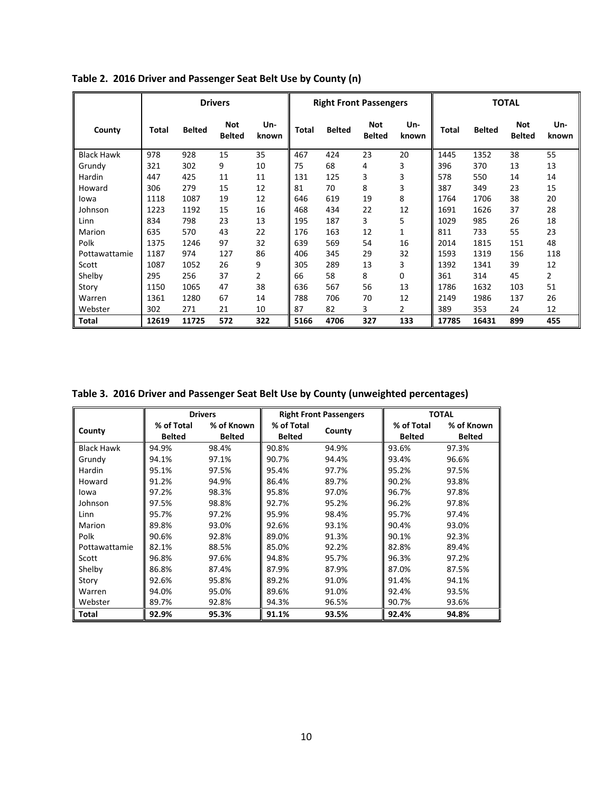|                   |       |               | <b>Drivers</b>       |              |              |               | <b>Right Front Passengers</b> |                |       |               | <b>TOTAL</b>         |              |
|-------------------|-------|---------------|----------------------|--------------|--------------|---------------|-------------------------------|----------------|-------|---------------|----------------------|--------------|
| County            | Total | <b>Belted</b> | Not<br><b>Belted</b> | Un-<br>known | <b>Total</b> | <b>Belted</b> | Not<br><b>Belted</b>          | Un-<br>known   | Total | <b>Belted</b> | Not<br><b>Belted</b> | Un-<br>known |
| <b>Black Hawk</b> | 978   | 928           | 15                   | 35           | 467          | 424           | 23                            | 20             | 1445  | 1352          | 38                   | 55           |
| Grundy            | 321   | 302           | 9                    | 10           | 75           | 68            | 4                             | 3              | 396   | 370           | 13                   | 13           |
| Hardin            | 447   | 425           | 11                   | 11           | 131          | 125           | 3                             | 3              | 578   | 550           | 14                   | 14           |
| Howard            | 306   | 279           | 15                   | 12           | 81           | 70            | 8                             | 3              | 387   | 349           | 23                   | 15           |
| lowa              | 1118  | 1087          | 19                   | 12           | 646          | 619           | 19                            | 8              | 1764  | 1706          | 38                   | 20           |
| Johnson           | 1223  | 1192          | 15                   | 16           | 468          | 434           | 22                            | 12             | 1691  | 1626          | 37                   | 28           |
| Linn              | 834   | 798           | 23                   | 13           | 195          | 187           | 3                             | 5              | 1029  | 985           | 26                   | 18           |
| Marion            | 635   | 570           | 43                   | 22           | 176          | 163           | 12                            | 1              | 811   | 733           | 55                   | 23           |
| Polk              | 1375  | 1246          | 97                   | 32           | 639          | 569           | 54                            | 16             | 2014  | 1815          | 151                  | 48           |
| Pottawattamie     | 1187  | 974           | 127                  | 86           | 406          | 345           | 29                            | 32             | 1593  | 1319          | 156                  | 118          |
| Scott             | 1087  | 1052          | 26                   | 9            | 305          | 289           | 13                            | 3              | 1392  | 1341          | 39                   | 12           |
| Shelby            | 295   | 256           | 37                   | 2            | 66           | 58            | 8                             | 0              | 361   | 314           | 45                   | 2            |
| Story             | 1150  | 1065          | 47                   | 38           | 636          | 567           | 56                            | 13             | 1786  | 1632          | 103                  | 51           |
| Warren            | 1361  | 1280          | 67                   | 14           | 788          | 706           | 70                            | 12             | 2149  | 1986          | 137                  | 26           |
| Webster           | 302   | 271           | 21                   | 10           | 87           | 82            | 3                             | $\overline{2}$ | 389   | 353           | 24                   | 12           |
| Total             | 12619 | 11725         | 572                  | 322          | 5166         | 4706          | 327                           | 133            | 17785 | 16431         | 899                  | 455          |

**Table 2. 2016 Driver and Passenger Seat Belt Use by County (n)**

**Table 3. 2016 Driver and Passenger Seat Belt Use by County (unweighted percentages)**

|                   |                             | <b>Drivers</b>              | <b>Right Front Passengers</b> |        |                             | <b>TOTAL</b>                |
|-------------------|-----------------------------|-----------------------------|-------------------------------|--------|-----------------------------|-----------------------------|
| County            | % of Total<br><b>Belted</b> | % of Known<br><b>Belted</b> | % of Total<br><b>Belted</b>   | County | % of Total<br><b>Belted</b> | % of Known<br><b>Belted</b> |
| <b>Black Hawk</b> | 94.9%                       | 98.4%                       | 90.8%                         | 94.9%  | 93.6%                       | 97.3%                       |
| Grundy            | 94.1%                       | 97.1%                       | 90.7%                         | 94.4%  | 93.4%                       | 96.6%                       |
| Hardin            | 95.1%                       | 97.5%                       | 95.4%                         | 97.7%  | 95.2%                       | 97.5%                       |
| Howard            | 91.2%                       | 94.9%                       | 86.4%                         | 89.7%  | 90.2%                       | 93.8%                       |
| lowa              | 97.2%                       | 98.3%                       | 95.8%                         | 97.0%  | 96.7%                       | 97.8%                       |
| Johnson           | 97.5%                       | 98.8%                       | 92.7%                         | 95.2%  | 96.2%                       | 97.8%                       |
| Linn              | 95.7%                       | 97.2%                       | 95.9%                         | 98.4%  | 95.7%                       | 97.4%                       |
| Marion            | 89.8%                       | 93.0%                       | 92.6%                         | 93.1%  | 90.4%                       | 93.0%                       |
| Polk              | 90.6%                       | 92.8%                       | 89.0%                         | 91.3%  | 90.1%                       | 92.3%                       |
| Pottawattamie     | 82.1%                       | 88.5%                       | 85.0%                         | 92.2%  | 82.8%                       | 89.4%                       |
| Scott             | 96.8%                       | 97.6%                       | 94.8%                         | 95.7%  | 96.3%                       | 97.2%                       |
| Shelby            | 86.8%                       | 87.4%                       | 87.9%                         | 87.9%  | 87.0%                       | 87.5%                       |
| Story             | 92.6%                       | 95.8%                       | 89.2%                         | 91.0%  | 91.4%                       | 94.1%                       |
| Warren            | 94.0%                       | 95.0%                       | 89.6%                         | 91.0%  | 92.4%                       | 93.5%                       |
| Webster           | 89.7%                       | 92.8%                       | 94.3%                         | 96.5%  | 90.7%                       | 93.6%                       |
| Total             | 92.9%                       | 95.3%                       | 91.1%                         | 93.5%  | 92.4%                       | 94.8%                       |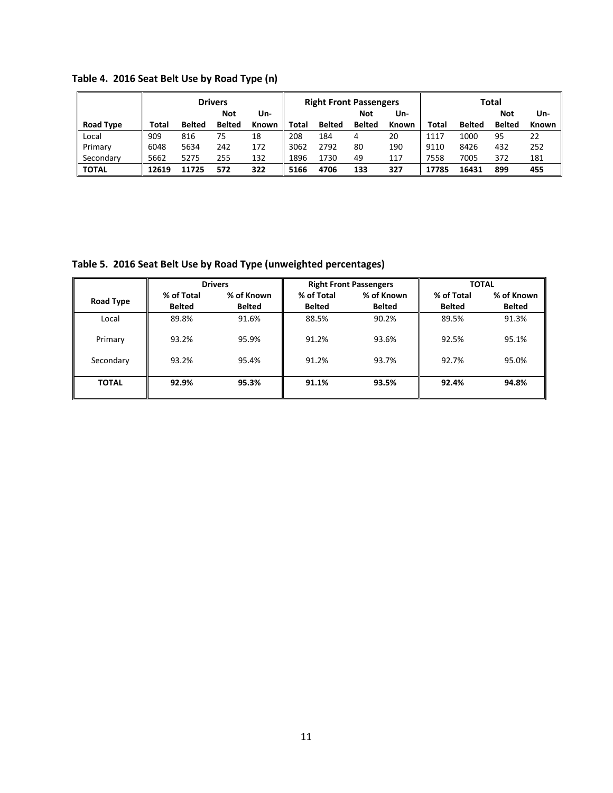|                  | <b>Drivers</b> |               |               | <b>Right Front Passengers</b> |       |               |               | Total |       |               |               |              |
|------------------|----------------|---------------|---------------|-------------------------------|-------|---------------|---------------|-------|-------|---------------|---------------|--------------|
|                  |                |               | Not           | Un-                           |       |               | Not           | Un-   |       |               | <b>Not</b>    | Un-          |
| <b>Road Type</b> | Total          | <b>Belted</b> | <b>Belted</b> | <b>Known</b>                  | Total | <b>Belted</b> | <b>Belted</b> | Known | Total | <b>Belted</b> | <b>Belted</b> | <b>Known</b> |
| Local            | 909            | 816           | 75            | 18                            | 208   | 184           | 4             | 20    | 1117  | 1000          | 95            | 22           |
| Primary          | 6048           | 5634          | 242           | 172                           | 3062  | 2792          | 80            | 190   | 9110  | 8426          | 432           | 252          |
| Secondary        | 5662           | 5275          | 255           | 132                           | 1896  | 1730          | 49            | 117   | 7558  | 7005          | 372           | 181          |
| <b>TOTAL</b>     | 12619          | 11725         | 572           | 322                           | 5166  | 4706          | 133           | 327   | 17785 | 16431         | 899           | 455          |

**Table 4. 2016 Seat Belt Use by Road Type (n)**

**Table 5. 2016 Seat Belt Use by Road Type (unweighted percentages)**

|                  |               | <b>Drivers</b> |               | <b>Right Front Passengers</b> | <b>TOTAL</b>  |               |
|------------------|---------------|----------------|---------------|-------------------------------|---------------|---------------|
| <b>Road Type</b> | % of Total    | % of Known     | % of Total    | % of Known                    | % of Total    | % of Known    |
|                  | <b>Belted</b> | <b>Belted</b>  | <b>Belted</b> | <b>Belted</b>                 | <b>Belted</b> | <b>Belted</b> |
| Local            | 89.8%         | 91.6%          | 88.5%         | 90.2%                         | 89.5%         | 91.3%         |
| Primary          | 93.2%         | 95.9%          | 91.2%         | 93.6%                         | 92.5%         | 95.1%         |
| Secondary        | 93.2%         | 95.4%          | 91.2%         | 93.7%                         | 92.7%         | 95.0%         |
| <b>TOTAL</b>     | 92.9%         | 95.3%          | 91.1%         | 93.5%                         | 92.4%         | 94.8%         |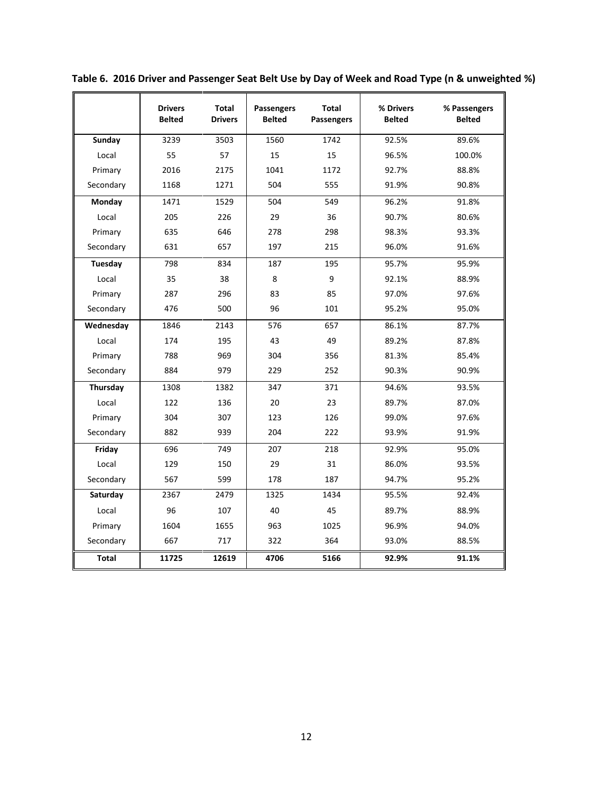|              | <b>Drivers</b><br><b>Belted</b> | <b>Total</b><br><b>Drivers</b> | Passengers<br><b>Belted</b> | <b>Total</b><br>Passengers | % Drivers<br><b>Belted</b> | % Passengers<br><b>Belted</b> |
|--------------|---------------------------------|--------------------------------|-----------------------------|----------------------------|----------------------------|-------------------------------|
| Sunday       | 3239                            | 3503                           | 1560                        | 1742                       | 92.5%                      | 89.6%                         |
| Local        | 55                              | 57                             | 15                          | 15                         | 96.5%                      | 100.0%                        |
| Primary      | 2016                            | 2175                           | 1041                        | 1172                       | 92.7%                      | 88.8%                         |
| Secondary    | 1168                            | 1271                           | 504                         | 555                        | 91.9%                      | 90.8%                         |
| Monday       | 1471                            | 1529                           | 504                         | 549                        | 96.2%                      | 91.8%                         |
| Local        | 205                             | 226                            | 29                          | 36                         | 90.7%                      | 80.6%                         |
| Primary      | 635                             | 646                            | 278                         | 298                        | 98.3%                      | 93.3%                         |
| Secondary    | 631                             | 657                            | 197                         | 215                        | 96.0%                      | 91.6%                         |
| Tuesday      | 798                             | 834                            | 187                         | 195                        | 95.7%                      | 95.9%                         |
| Local        | 35                              | 38                             | 8                           | 9                          | 92.1%                      | 88.9%                         |
| Primary      | 287                             | 296                            | 83                          | 85                         | 97.0%                      | 97.6%                         |
| Secondary    | 476                             | 500                            | 96                          | 101                        | 95.2%                      | 95.0%                         |
| Wednesday    | 1846                            | 2143                           | 576                         | 657                        | 86.1%                      | 87.7%                         |
| Local        | 174                             | 195                            | 43                          | 49                         | 89.2%                      | 87.8%                         |
| Primary      | 788                             | 969                            | 304                         | 356                        | 81.3%                      | 85.4%                         |
| Secondary    | 884                             | 979                            | 229                         | 252                        | 90.3%                      | 90.9%                         |
| Thursday     | 1308                            | 1382                           | 347                         | 371                        | 94.6%                      | 93.5%                         |
| Local        | 122                             | 136                            | 20                          | 23                         | 89.7%                      | 87.0%                         |
| Primary      | 304                             | 307                            | 123                         | 126                        | 99.0%                      | 97.6%                         |
| Secondary    | 882                             | 939                            | 204                         | 222                        | 93.9%                      | 91.9%                         |
| Friday       | 696                             | 749                            | 207                         | 218                        | 92.9%                      | 95.0%                         |
| Local        | 129                             | 150                            | 29                          | 31                         | 86.0%                      | 93.5%                         |
| Secondary    | 567                             | 599                            | 178                         | 187                        | 94.7%                      | 95.2%                         |
| Saturday     | 2367                            | 2479                           | 1325                        | 1434                       | 95.5%                      | 92.4%                         |
| Local        | 96                              | 107                            | 40                          | 45                         | 89.7%                      | 88.9%                         |
| Primary      | 1604                            | 1655                           | 963                         | 1025                       | 96.9%                      | 94.0%                         |
| Secondary    | 667                             | 717                            | 322                         | 364                        | 93.0%                      | 88.5%                         |
| <b>Total</b> | 11725                           | 12619                          | 4706                        | 5166                       | 92.9%                      | 91.1%                         |

**Table 6. 2016 Driver and Passenger Seat Belt Use by Day of Week and Road Type (n & unweighted %)**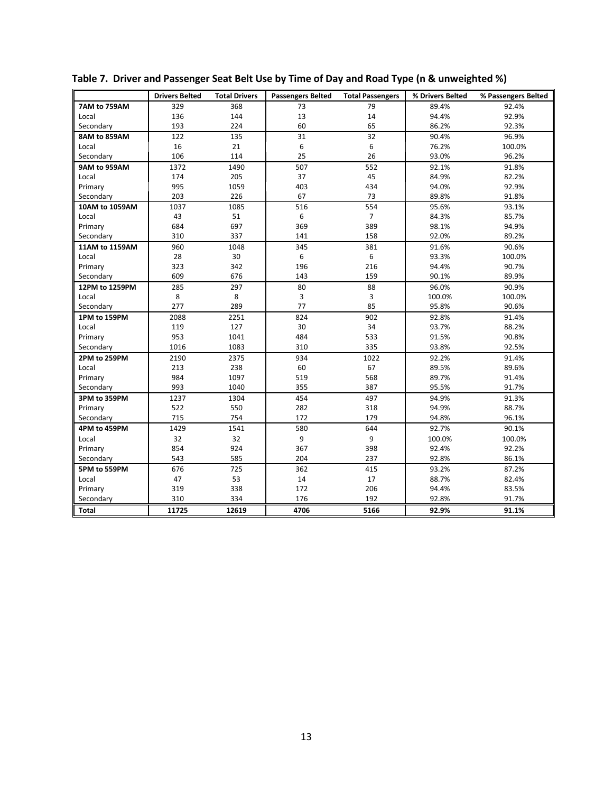|                | <b>Drivers Belted</b> | <b>Total Drivers</b> | <b>Passengers Belted</b> | <b>Total Passengers</b> | % Drivers Belted | % Passengers Belted |
|----------------|-----------------------|----------------------|--------------------------|-------------------------|------------------|---------------------|
| 7AM to 759AM   | 329                   | 368                  | 73                       | 79                      | 89.4%            | 92.4%               |
| Local          | 136                   | 144                  | 13                       | 14                      | 94.4%            | 92.9%               |
| Secondary      | 193                   | 224                  | 60                       | 65                      | 86.2%            | 92.3%               |
| 8AM to 859AM   | 122                   | 135                  | 31                       | 32                      | 90.4%            | 96.9%               |
| Local          | 16                    | 21                   | 6                        | 6                       | 76.2%            | 100.0%              |
| Secondary      | 106                   | 114                  | 25                       | 26                      | 93.0%            | 96.2%               |
| 9AM to 959AM   | 1372                  | 1490                 | 507                      | 552                     | 92.1%            | 91.8%               |
| Local          | 174                   | 205                  | 37                       | 45                      | 84.9%            | 82.2%               |
| Primary        | 995                   | 1059                 | 403                      | 434                     | 94.0%            | 92.9%               |
| Secondary      | 203                   | 226                  | 67                       | 73                      | 89.8%            | 91.8%               |
| 10AM to 1059AM | 1037                  | 1085                 | 516                      | 554                     | 95.6%            | 93.1%               |
| Local          | 43                    | 51                   | 6                        | $\overline{7}$          | 84.3%            | 85.7%               |
| Primary        | 684                   | 697                  | 369                      | 389                     | 98.1%            | 94.9%               |
| Secondary      | 310                   | 337                  | 141                      | 158                     | 92.0%            | 89.2%               |
| 11AM to 1159AM | 960                   | 1048                 | 345                      | 381                     | 91.6%            | 90.6%               |
| Local          | 28                    | 30                   | 6                        | 6                       | 93.3%            | 100.0%              |
| Primary        | 323                   | 342                  | 196                      | 216                     | 94.4%            | 90.7%               |
| Secondary      | 609                   | 676                  | 143                      | 159                     | 90.1%            | 89.9%               |
| 12PM to 1259PM | 285                   | 297                  | 80                       | 88                      | 96.0%            | 90.9%               |
| Local          | 8                     | 8                    | 3                        | 3                       | 100.0%           | 100.0%              |
| Secondary      | 277                   | 289                  | 77                       | 85                      | 95.8%            | 90.6%               |
| 1PM to 159PM   | 2088                  | 2251                 | 824                      | 902                     | 92.8%            | 91.4%               |
| Local          | 119                   | 127                  | 30                       | 34                      | 93.7%            | 88.2%               |
| Primary        | 953                   | 1041                 | 484                      | 533                     | 91.5%            | 90.8%               |
| Secondary      | 1016                  | 1083                 | 310                      | 335                     | 93.8%            | 92.5%               |
| 2PM to 259PM   | 2190                  | 2375                 | 934                      | 1022                    | 92.2%            | 91.4%               |
| Local          | 213                   | 238                  | 60                       | 67                      | 89.5%            | 89.6%               |
| Primary        | 984                   | 1097                 | 519                      | 568                     | 89.7%            | 91.4%               |
| Secondary      | 993                   | 1040                 | 355                      | 387                     | 95.5%            | 91.7%               |
| 3PM to 359PM   | 1237                  | 1304                 | 454                      | 497                     | 94.9%            | 91.3%               |
| Primary        | 522                   | 550                  | 282                      | 318                     | 94.9%            | 88.7%               |
| Secondary      | 715                   | 754                  | 172                      | 179                     | 94.8%            | 96.1%               |
| 4PM to 459PM   | 1429                  | 1541                 | 580                      | 644                     | 92.7%            | 90.1%               |
| Local          | 32                    | 32                   | 9                        | 9                       | 100.0%           | 100.0%              |
| Primary        | 854                   | 924                  | 367                      | 398                     | 92.4%            | 92.2%               |
| Secondary      | 543                   | 585                  | 204                      | 237                     | 92.8%            | 86.1%               |
| 5PM to 559PM   | 676                   | 725                  | 362                      | 415                     | 93.2%            | 87.2%               |
| Local          | 47                    | 53                   | 14                       | 17                      | 88.7%            | 82.4%               |
| Primary        | 319                   | 338                  | 172                      | 206                     | 94.4%            | 83.5%               |
| Secondary      | 310                   | 334                  | 176                      | 192                     | 92.8%            | 91.7%               |
| <b>Total</b>   | 11725                 | 12619                | 4706                     | 5166                    | 92.9%            | 91.1%               |

**Table 7. Driver and Passenger Seat Belt Use by Time of Day and Road Type (n & unweighted %)**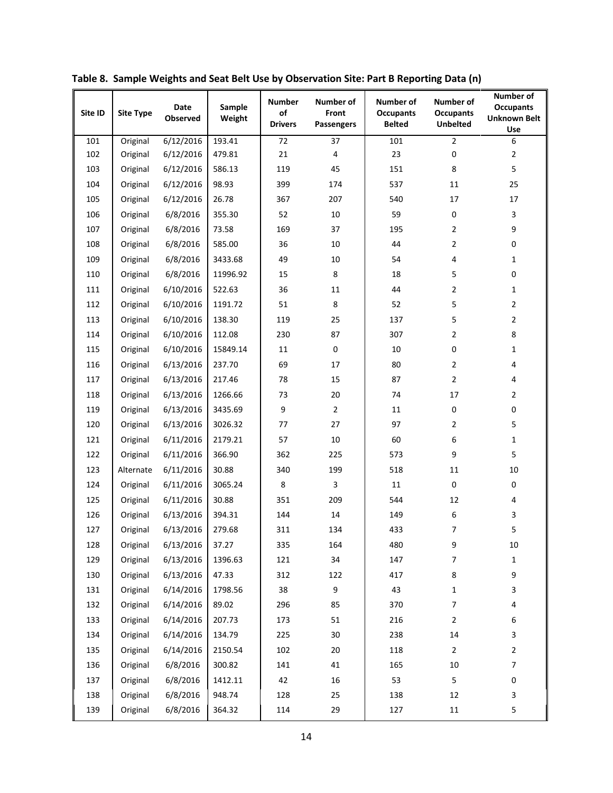| Site ID | <b>Site Type</b> | <b>Date</b><br>Observed | Sample<br>Weight | <b>Number</b><br>of<br><b>Drivers</b> | Number of<br>Front<br><b>Passengers</b> | Number of<br><b>Occupants</b><br><b>Belted</b> | <b>Number of</b><br><b>Occupants</b><br><b>Unbelted</b> | Number of<br><b>Occupants</b><br><b>Unknown Belt</b><br>Use |
|---------|------------------|-------------------------|------------------|---------------------------------------|-----------------------------------------|------------------------------------------------|---------------------------------------------------------|-------------------------------------------------------------|
| 101     | Original         | 6/12/2016               | 193.41           | 72                                    | 37                                      | 101                                            | $\overline{2}$                                          | 6                                                           |
| 102     | Original         | 6/12/2016               | 479.81           | 21                                    | 4                                       | 23                                             | 0                                                       | $\overline{2}$                                              |
| 103     | Original         | 6/12/2016               | 586.13           | 119                                   | 45                                      | 151                                            | 8                                                       | 5                                                           |
| 104     | Original         | 6/12/2016               | 98.93            | 399                                   | 174                                     | 537                                            | 11                                                      | 25                                                          |
| 105     | Original         | 6/12/2016               | 26.78            | 367                                   | 207                                     | 540                                            | 17                                                      | 17                                                          |
| 106     | Original         | 6/8/2016                | 355.30           | 52                                    | 10                                      | 59                                             | 0                                                       | 3                                                           |
| 107     | Original         | 6/8/2016                | 73.58            | 169                                   | 37                                      | 195                                            | $\overline{2}$                                          | 9                                                           |
| 108     | Original         | 6/8/2016                | 585.00           | 36                                    | 10                                      | 44                                             | 2                                                       | $\mathbf 0$                                                 |
| 109     | Original         | 6/8/2016                | 3433.68          | 49                                    | 10                                      | 54                                             | 4                                                       | $\mathbf{1}$                                                |
| 110     | Original         | 6/8/2016                | 11996.92         | 15                                    | 8                                       | 18                                             | 5                                                       | $\mathbf 0$                                                 |
| 111     | Original         | 6/10/2016               | 522.63           | 36                                    | 11                                      | 44                                             | $\overline{2}$                                          | $\mathbf{1}$                                                |
| 112     | Original         | 6/10/2016               | 1191.72          | 51                                    | 8                                       | 52                                             | 5                                                       | $\overline{2}$                                              |
| 113     | Original         | 6/10/2016               | 138.30           | 119                                   | 25                                      | 137                                            | 5                                                       | $\overline{2}$                                              |
| 114     | Original         | 6/10/2016               | 112.08           | 230                                   | 87                                      | 307                                            | 2                                                       | 8                                                           |
| 115     | Original         | 6/10/2016               | 15849.14         | 11                                    | $\mathbf{0}$                            | 10                                             | 0                                                       | $\mathbf{1}$                                                |
| 116     | Original         | 6/13/2016               | 237.70           | 69                                    | 17                                      | 80                                             | 2                                                       | 4                                                           |
| 117     | Original         | 6/13/2016               | 217.46           | 78                                    | 15                                      | 87                                             | 2                                                       | $\overline{4}$                                              |
| 118     | Original         | 6/13/2016               | 1266.66          | 73                                    | 20                                      | 74                                             | 17                                                      | $\overline{2}$                                              |
| 119     | Original         | 6/13/2016               | 3435.69          | 9                                     | $\overline{2}$                          | 11                                             | 0                                                       | $\mathbf 0$                                                 |
| 120     | Original         | 6/13/2016               | 3026.32          | 77                                    | 27                                      | 97                                             | 2                                                       | 5                                                           |
| 121     | Original         | 6/11/2016               | 2179.21          | 57                                    | 10                                      | 60                                             | 6                                                       | $\mathbf{1}$                                                |
| 122     | Original         | 6/11/2016               | 366.90           | 362                                   | 225                                     | 573                                            | 9                                                       | 5                                                           |
| 123     | Alternate        | 6/11/2016               | 30.88            | 340                                   | 199                                     | 518                                            | 11                                                      | 10                                                          |
| 124     | Original         | 6/11/2016               | 3065.24          | $\,8\,$                               | 3                                       | 11                                             | 0                                                       | $\pmb{0}$                                                   |
| 125     | Original         | 6/11/2016               | 30.88            | 351                                   | 209                                     | 544                                            | 12                                                      | 4                                                           |
| 126     | Original         | 6/13/2016               | 394.31           | 144                                   | 14                                      | 149                                            | 6                                                       | 3                                                           |
| 127     | Original         | 6/13/2016               | 279.68           | 311                                   | 134                                     | 433                                            | 7                                                       | 5                                                           |
| 128     | Original         | 6/13/2016               | 37.27            | 335                                   | 164                                     | 480                                            | 9                                                       | 10                                                          |
| 129     | Original         | 6/13/2016               | 1396.63          | 121                                   | 34                                      | 147                                            | 7                                                       | $\mathbf{1}$                                                |
| 130     | Original         | 6/13/2016               | 47.33            | 312                                   | 122                                     | 417                                            | 8                                                       | 9                                                           |
| 131     | Original         | 6/14/2016               | 1798.56          | 38                                    | $\boldsymbol{9}$                        | 43                                             | $\mathbf{1}$                                            | 3                                                           |
| 132     | Original         | 6/14/2016               | 89.02            | 296                                   | 85                                      | 370                                            | 7                                                       | 4                                                           |
| 133     | Original         | 6/14/2016               | 207.73           | 173                                   | 51                                      | 216                                            | $\overline{2}$                                          | 6                                                           |
| 134     | Original         | 6/14/2016               | 134.79           | 225                                   | $30\,$                                  | 238                                            | 14                                                      | 3                                                           |
| 135     | Original         | 6/14/2016               | 2150.54          | 102                                   | 20                                      | 118                                            | 2                                                       | $\mathbf 2$                                                 |
| 136     | Original         | 6/8/2016                | 300.82           | 141                                   | 41                                      | 165                                            | $10\,$                                                  | $\overline{7}$                                              |
| 137     | Original         | 6/8/2016                | 1412.11          | 42                                    | 16                                      | 53                                             | 5                                                       | $\mathbf 0$                                                 |
| 138     | Original         | 6/8/2016                | 948.74           | 128                                   | 25                                      | 138                                            | 12                                                      | 3                                                           |
| 139     | Original         | 6/8/2016                | 364.32           | 114                                   | 29                                      | 127                                            | 11                                                      | 5                                                           |

**Table 8. Sample Weights and Seat Belt Use by Observation Site: Part B Reporting Data (n)**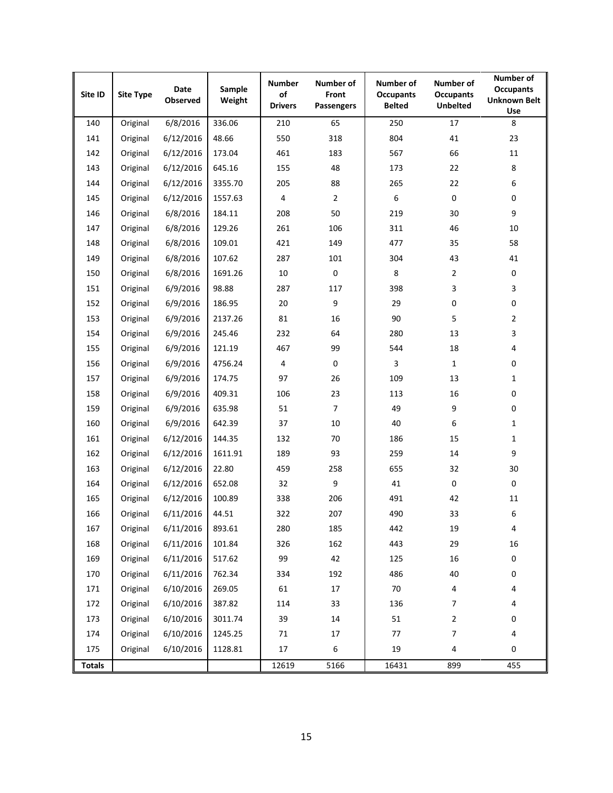| Site ID       | <b>Site Type</b> | Date<br>Observed | Sample<br>Weight | <b>Number</b><br>of<br><b>Drivers</b> | Number of<br>Front<br>Passengers | Number of<br><b>Occupants</b><br><b>Belted</b> | Number of<br><b>Occupants</b><br><b>Unbelted</b> | Number of<br><b>Occupants</b><br><b>Unknown Belt</b><br>Use |
|---------------|------------------|------------------|------------------|---------------------------------------|----------------------------------|------------------------------------------------|--------------------------------------------------|-------------------------------------------------------------|
| 140           | Original         | 6/8/2016         | 336.06           | 210                                   | 65                               | 250                                            | 17                                               | 8                                                           |
| 141           | Original         | 6/12/2016        | 48.66            | 550                                   | 318                              | 804                                            | 41                                               | 23                                                          |
| 142           | Original         | 6/12/2016        | 173.04           | 461                                   | 183                              | 567                                            | 66                                               | 11                                                          |
| 143           | Original         | 6/12/2016        | 645.16           | 155                                   | 48                               | 173                                            | 22                                               | 8                                                           |
| 144           | Original         | 6/12/2016        | 3355.70          | 205                                   | 88                               | 265                                            | 22                                               | 6                                                           |
| 145           | Original         | 6/12/2016        | 1557.63          | 4                                     | $\overline{2}$                   | 6                                              | 0                                                | 0                                                           |
| 146           | Original         | 6/8/2016         | 184.11           | 208                                   | 50                               | 219                                            | 30                                               | 9                                                           |
| 147           | Original         | 6/8/2016         | 129.26           | 261                                   | 106                              | 311                                            | 46                                               | 10                                                          |
| 148           | Original         | 6/8/2016         | 109.01           | 421                                   | 149                              | 477                                            | 35                                               | 58                                                          |
| 149           | Original         | 6/8/2016         | 107.62           | 287                                   | 101                              | 304                                            | 43                                               | 41                                                          |
| 150           | Original         | 6/8/2016         | 1691.26          | 10                                    | $\pmb{0}$                        | 8                                              | $\mathbf{2}$                                     | 0                                                           |
| 151           | Original         | 6/9/2016         | 98.88            | 287                                   | 117                              | 398                                            | 3                                                | 3                                                           |
| 152           | Original         | 6/9/2016         | 186.95           | 20                                    | $\boldsymbol{9}$                 | 29                                             | $\pmb{0}$                                        | 0                                                           |
| 153           | Original         | 6/9/2016         | 2137.26          | 81                                    | 16                               | 90                                             | 5                                                | $\mathbf{2}$                                                |
| 154           | Original         | 6/9/2016         | 245.46           | 232                                   | 64                               | 280                                            | 13                                               | 3                                                           |
| 155           | Original         | 6/9/2016         | 121.19           | 467                                   | 99                               | 544                                            | 18                                               | 4                                                           |
| 156           | Original         | 6/9/2016         | 4756.24          | 4                                     | $\pmb{0}$                        | 3                                              | $\mathbf{1}$                                     | 0                                                           |
| 157           | Original         | 6/9/2016         | 174.75           | 97                                    | 26                               | 109                                            | 13                                               | $\mathbf{1}$                                                |
| 158           | Original         | 6/9/2016         | 409.31           | 106                                   | 23                               | 113                                            | 16                                               | 0                                                           |
| 159           | Original         | 6/9/2016         | 635.98           | 51                                    | $\overline{7}$                   | 49                                             | 9                                                | 0                                                           |
| 160           | Original         | 6/9/2016         | 642.39           | 37                                    | 10                               | 40                                             | 6                                                | $\mathbf{1}$                                                |
| 161           | Original         | 6/12/2016        | 144.35           | 132                                   | 70                               | 186                                            | 15                                               | $\mathbf{1}$                                                |
| 162           | Original         | 6/12/2016        | 1611.91          | 189                                   | 93                               | 259                                            | 14                                               | 9                                                           |
| 163           | Original         | 6/12/2016        | 22.80            | 459                                   | 258                              | 655                                            | 32                                               | 30                                                          |
| 164           | Original         | 6/12/2016        | 652.08           | 32                                    | $\boldsymbol{9}$                 | 41                                             | 0                                                | $\mathbf 0$                                                 |
| 165           | Original         | 6/12/2016        | 100.89           | 338                                   | 206                              | 491                                            | 42                                               | 11                                                          |
| 166           | Original         | 6/11/2016        | 44.51            | 322                                   | 207                              | 490                                            | 33                                               | 6                                                           |
| 167           | Original         | 6/11/2016        | 893.61           | 280                                   | 185                              | 442                                            | 19                                               | 4                                                           |
| 168           | Original         | 6/11/2016        | 101.84           | 326                                   | 162                              | 443                                            | 29                                               | 16                                                          |
| 169           | Original         | 6/11/2016        | 517.62           | 99                                    | 42                               | 125                                            | 16                                               | $\pmb{0}$                                                   |
| 170           | Original         | 6/11/2016        | 762.34           | 334                                   | 192                              | 486                                            | 40                                               | 0                                                           |
| 171           | Original         | 6/10/2016        | 269.05           | 61                                    | 17                               | 70                                             | 4                                                | 4                                                           |
| 172           | Original         | 6/10/2016        | 387.82           | 114                                   | 33                               | 136                                            | 7                                                | 4                                                           |
| 173           | Original         | 6/10/2016        | 3011.74          | 39                                    | 14                               | 51                                             | $\mathbf 2$                                      | 0                                                           |
| 174           | Original         | 6/10/2016        | 1245.25          | 71                                    | 17                               | 77                                             | 7                                                | 4                                                           |
| 175           | Original         | 6/10/2016        | 1128.81          | 17                                    | 6                                | 19                                             | 4                                                | 0                                                           |
| <b>Totals</b> |                  |                  |                  | 12619                                 | 5166                             | 16431                                          | 899                                              | 455                                                         |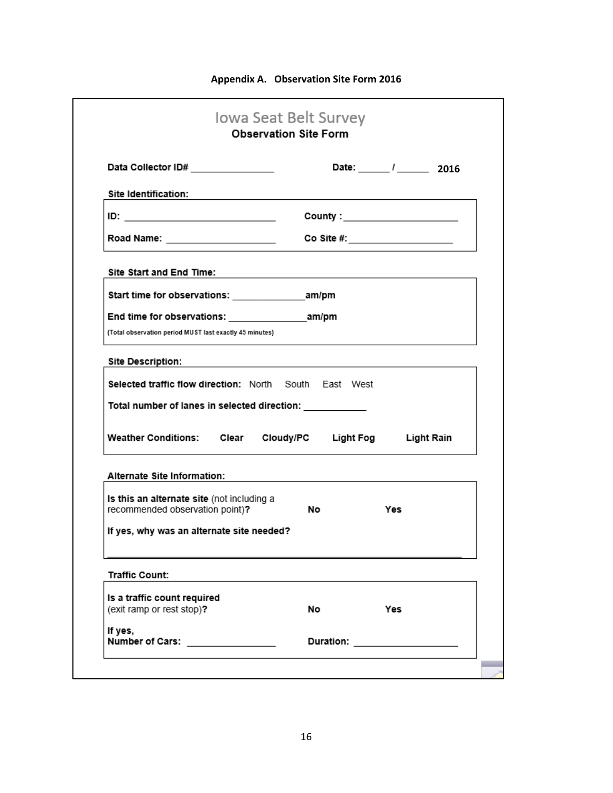| <b>Appendix A. Observation Site Form 2016</b> |  |  |  |  |  |
|-----------------------------------------------|--|--|--|--|--|
|-----------------------------------------------|--|--|--|--|--|

| Data Collector ID# _______________                                                                                                 | Date: 1 2016                                                                              |
|------------------------------------------------------------------------------------------------------------------------------------|-------------------------------------------------------------------------------------------|
| Site Identification:                                                                                                               | the control of the control of the control of the control of the control of the control of |
|                                                                                                                                    | County : ______________________                                                           |
| Road Name: ______________________                                                                                                  | Co Site #: $\qquad \qquad \qquad$                                                         |
| Site Start and End Time:                                                                                                           |                                                                                           |
| Start time for observations: ________________________am/pm                                                                         |                                                                                           |
|                                                                                                                                    |                                                                                           |
| (Total observation period MUST last exactly 45 minutes)                                                                            |                                                                                           |
|                                                                                                                                    |                                                                                           |
|                                                                                                                                    | the control of the control of the control of the control of the control of the control of |
|                                                                                                                                    |                                                                                           |
|                                                                                                                                    |                                                                                           |
|                                                                                                                                    |                                                                                           |
| <b>Site Description:</b><br>Selected traffic flow direction: North South East West<br>Total number of lanes in selected direction: | Weather Conditions: Clear Cloudy/PC Light Fog Light Rain                                  |
| Alternate Site Information:                                                                                                        |                                                                                           |
| Is this an alternate site (not including a                                                                                         |                                                                                           |
| recommended observation point)?                                                                                                    | No.<br>Yes                                                                                |
|                                                                                                                                    |                                                                                           |
|                                                                                                                                    |                                                                                           |
| If yes, why was an alternate site needed?<br><b>Traffic Count:</b>                                                                 |                                                                                           |
| Is a traffic count required<br>(exit ramp or rest stop)?                                                                           | Yes<br>No                                                                                 |
| If yes,                                                                                                                            |                                                                                           |